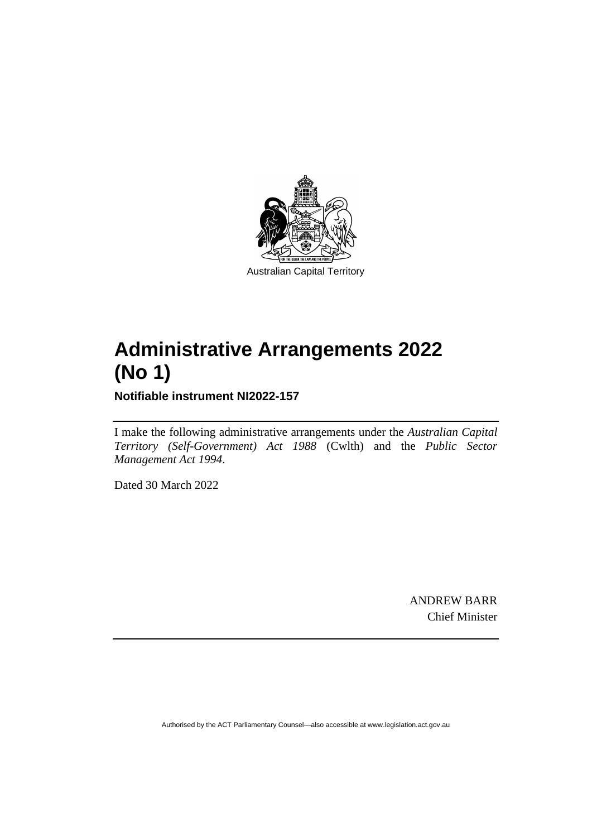

# **Administrative Arrangements 2022 (No 1)**

**Notifiable instrument NI2022-157**

I make the following administrative arrangements under the *Australian Capital Territory (Self-Government) Act 1988* (Cwlth) and the *Public Sector Management Act 1994*.

Dated 30 March 2022

ANDREW BARR Chief Minister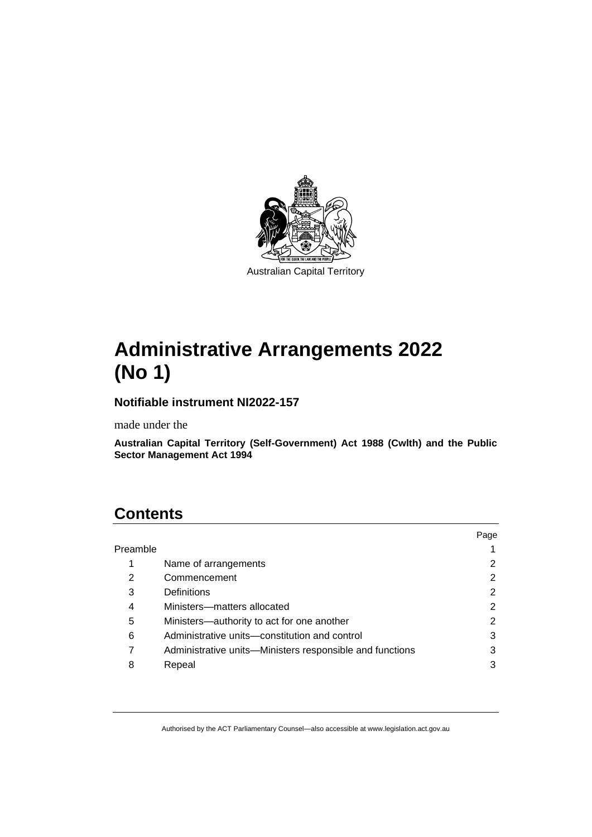

# **Administrative Arrangements 2022 (No 1)**

#### **Notifiable instrument NI2022-157**

made under the

**Australian Capital Territory (Self-Government) Act 1988 (Cwlth) and the Public Sector Management Act 1994**

# **Contents**

|          |                                                          | Page |
|----------|----------------------------------------------------------|------|
| Preamble |                                                          |      |
|          | Name of arrangements                                     | 2    |
| 2        | Commencement                                             | 2    |
| 3        | <b>Definitions</b>                                       | 2    |
| 4        | Ministers-matters allocated                              | 2    |
| 5        | Ministers-authority to act for one another               | 2    |
| 6        | Administrative units-constitution and control            | 3    |
|          | Administrative units—Ministers responsible and functions | 3    |
| 8        | Repeal                                                   |      |
|          |                                                          |      |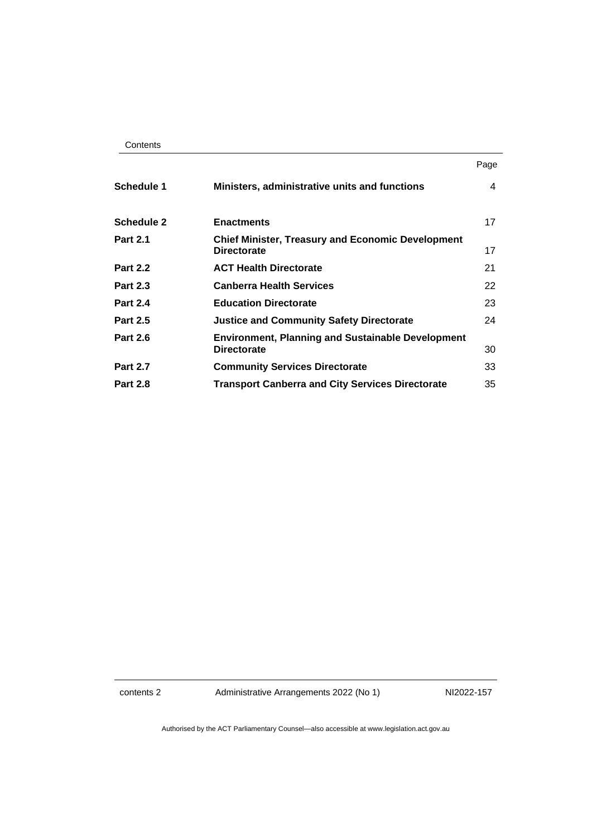| Contents |
|----------|
|----------|

|                   |                                                                                | Page |
|-------------------|--------------------------------------------------------------------------------|------|
| <b>Schedule 1</b> | Ministers, administrative units and functions                                  | 4    |
| <b>Schedule 2</b> | <b>Enactments</b>                                                              | 17   |
| <b>Part 2.1</b>   | <b>Chief Minister, Treasury and Economic Development</b><br><b>Directorate</b> | 17   |
| <b>Part 2.2</b>   | <b>ACT Health Directorate</b>                                                  | 21   |
| <b>Part 2.3</b>   | <b>Canberra Health Services</b>                                                | 22   |
| <b>Part 2.4</b>   | <b>Education Directorate</b>                                                   | 23   |
| <b>Part 2.5</b>   | <b>Justice and Community Safety Directorate</b>                                | 24   |
| <b>Part 2.6</b>   | <b>Environment, Planning and Sustainable Development</b><br><b>Directorate</b> | 30   |
| <b>Part 2.7</b>   | <b>Community Services Directorate</b>                                          | 33   |
| <b>Part 2.8</b>   | <b>Transport Canberra and City Services Directorate</b>                        | 35   |

contents 2 Administrative Arrangements 2022 (No 1) NI2022-157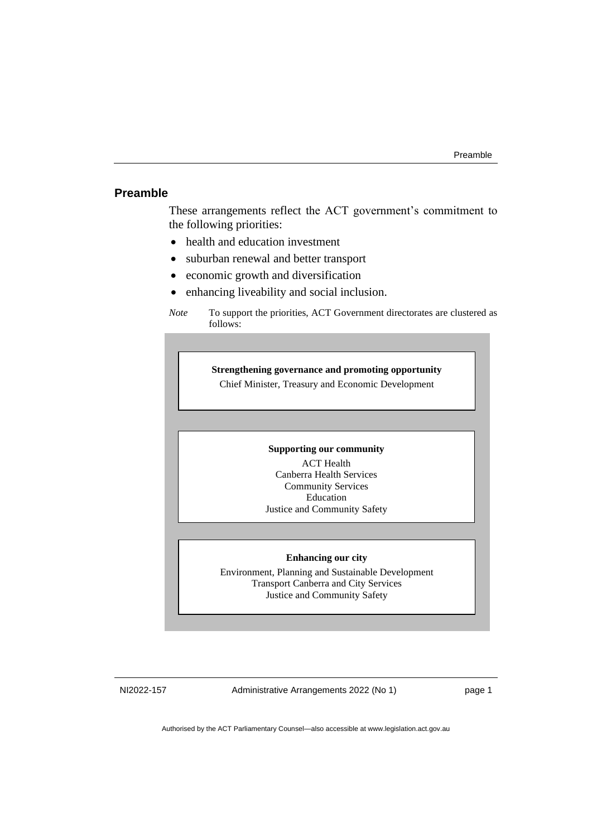#### <span id="page-4-0"></span>**Preamble**

These arrangements reflect the ACT government's commitment to the following priorities:

- health and education investment
- suburban renewal and better transport
- economic growth and diversification
- enhancing liveability and social inclusion.

#### **Strengthening governance and promoting opportunity**

Chief Minister, Treasury and Economic Development

#### **Supporting our community**

ACT Health Canberra Health Services Community Services Education Justice and Community Safety

#### **Enhancing our city**

Environment, Planning and Sustainable Development Transport Canberra and City Services Justice and Community Safety

NI2022-157 Administrative Arrangements 2022 (No 1) page 1

*Note* To support the priorities, ACT Government directorates are clustered as follows: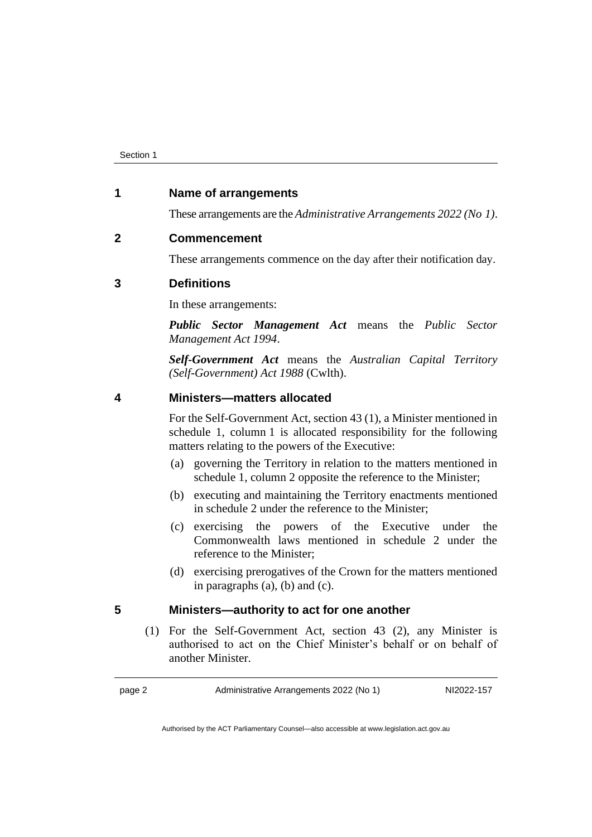#### <span id="page-5-0"></span>**1 Name of arrangements**

These arrangements are the *Administrative Arrangements 2022 (No 1)*.

#### <span id="page-5-1"></span>**2 Commencement**

These arrangements commence on the day after their notification day.

#### <span id="page-5-2"></span>**3 Definitions**

In these arrangements:

*Public Sector Management Act* means the *Public Sector Management Act 1994*.

*Self-Government Act* means the *Australian Capital Territory (Self-Government) Act 1988* (Cwlth).

#### <span id="page-5-3"></span>**4 Ministers—matters allocated**

For the Self-Government Act, section 43 (1), a Minister mentioned in schedule 1, column 1 is allocated responsibility for the following matters relating to the powers of the Executive:

- (a) governing the Territory in relation to the matters mentioned in schedule 1, column 2 opposite the reference to the Minister;
- (b) executing and maintaining the Territory enactments mentioned in schedule 2 under the reference to the Minister;
- (c) exercising the powers of the Executive under the Commonwealth laws mentioned in schedule 2 under the reference to the Minister;
- (d) exercising prerogatives of the Crown for the matters mentioned in paragraphs (a), (b) and (c).

#### <span id="page-5-4"></span>**5 Ministers—authority to act for one another**

(1) For the Self-Government Act, section 43 (2), any Minister is authorised to act on the Chief Minister's behalf or on behalf of another Minister.

page 2 Administrative Arrangements 2022 (No 1) NI2022-157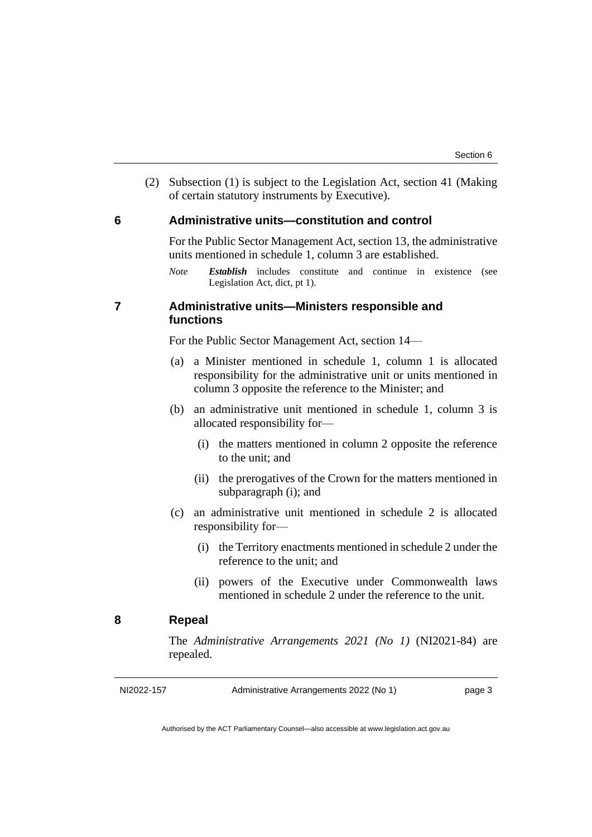(2) Subsection (1) is subject to the Legislation Act, section 41 (Making of certain statutory instruments by Executive).

#### <span id="page-6-0"></span>**6 Administrative units—constitution and control**

For the Public Sector Management Act, section 13, the administrative units mentioned in schedule 1, column 3 are established.

*Note Establish* includes constitute and continue in existence (see Legislation Act, dict, pt 1).

#### <span id="page-6-1"></span>**7 Administrative units—Ministers responsible and functions**

For the Public Sector Management Act, section 14—

- (a) a Minister mentioned in schedule 1, column 1 is allocated responsibility for the administrative unit or units mentioned in column 3 opposite the reference to the Minister; and
- (b) an administrative unit mentioned in schedule 1, column 3 is allocated responsibility for—
	- (i) the matters mentioned in column 2 opposite the reference to the unit; and
	- (ii) the prerogatives of the Crown for the matters mentioned in subparagraph (i); and
- (c) an administrative unit mentioned in schedule 2 is allocated responsibility for—
	- (i) the Territory enactments mentioned in schedule 2 under the reference to the unit; and
	- (ii) powers of the Executive under Commonwealth laws mentioned in schedule 2 under the reference to the unit.

#### <span id="page-6-2"></span>**8 Repeal**

The *Administrative Arrangements 2021 (No 1)* (NI2021-84) are repealed.

NI2022-157 Administrative Arrangements 2022 (No 1) page 3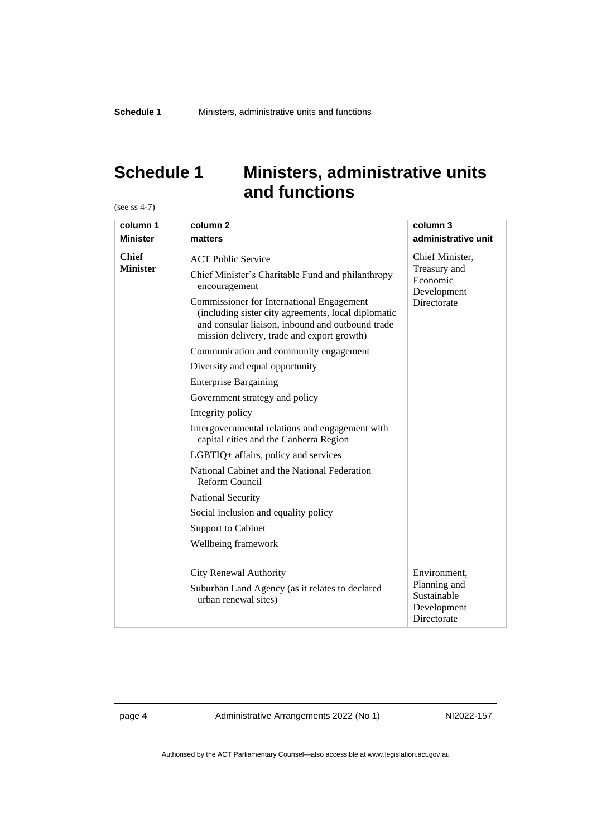# <span id="page-7-0"></span>**Schedule 1 Ministers, administrative units and functions**

(see ss 4-7)

| column 1                        | column <sub>2</sub>                                                                                                                                                                                                                                                                                                                                                                                                                                                                                                                                                                                                                                                                                                                                                                                            | column 3                                                                  |
|---------------------------------|----------------------------------------------------------------------------------------------------------------------------------------------------------------------------------------------------------------------------------------------------------------------------------------------------------------------------------------------------------------------------------------------------------------------------------------------------------------------------------------------------------------------------------------------------------------------------------------------------------------------------------------------------------------------------------------------------------------------------------------------------------------------------------------------------------------|---------------------------------------------------------------------------|
| <b>Minister</b>                 | matters                                                                                                                                                                                                                                                                                                                                                                                                                                                                                                                                                                                                                                                                                                                                                                                                        | administrative unit                                                       |
| <b>Chief</b><br><b>Minister</b> | <b>ACT Public Service</b><br>Chief Minister's Charitable Fund and philanthropy<br>encouragement<br><b>Commissioner for International Engagement</b><br>(including sister city agreements, local diplomatic<br>and consular liaison, inbound and outbound trade<br>mission delivery, trade and export growth)<br>Communication and community engagement<br>Diversity and equal opportunity<br><b>Enterprise Bargaining</b><br>Government strategy and policy<br>Integrity policy<br>Intergovernmental relations and engagement with<br>capital cities and the Canberra Region<br>LGBTIQ+ affairs, policy and services<br>National Cabinet and the National Federation<br><b>Reform Council</b><br>National Security<br>Social inclusion and equality policy<br><b>Support to Cabinet</b><br>Wellbeing framework | Chief Minister,<br>Treasury and<br>Economic<br>Development<br>Directorate |
|                                 | <b>City Renewal Authority</b><br>Suburban Land Agency (as it relates to declared<br>urban renewal sites)                                                                                                                                                                                                                                                                                                                                                                                                                                                                                                                                                                                                                                                                                                       | Environment,<br>Planning and<br>Sustainable<br>Development<br>Directorate |

page 4 Administrative Arrangements 2022 (No 1) NI2022-157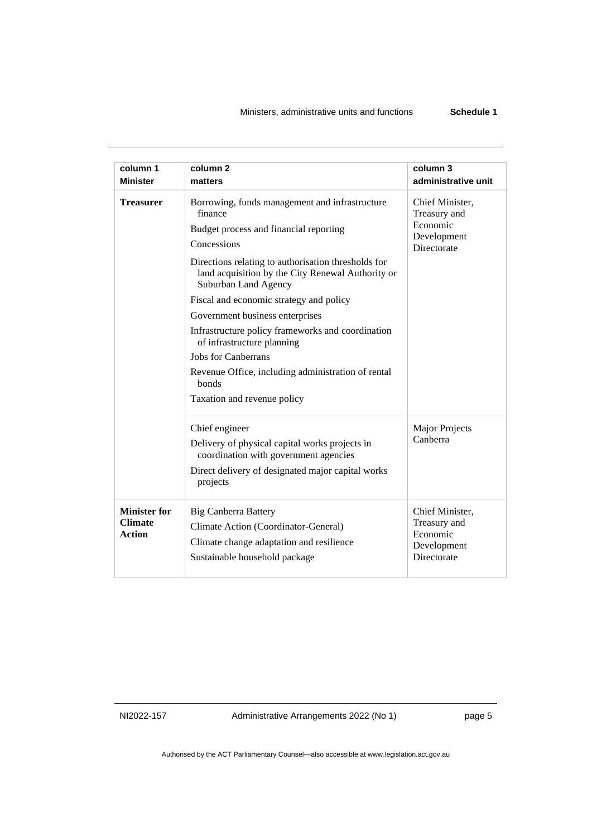| column 1                                               | column <sub>2</sub>                                                                                                                                                                                                                                                                                                                                                                                                                                                                                                                                 | column 3                                                                  |
|--------------------------------------------------------|-----------------------------------------------------------------------------------------------------------------------------------------------------------------------------------------------------------------------------------------------------------------------------------------------------------------------------------------------------------------------------------------------------------------------------------------------------------------------------------------------------------------------------------------------------|---------------------------------------------------------------------------|
| <b>Minister</b>                                        | matters                                                                                                                                                                                                                                                                                                                                                                                                                                                                                                                                             | administrative unit                                                       |
| <b>Treasurer</b>                                       | Borrowing, funds management and infrastructure<br>finance<br>Budget process and financial reporting<br>Concessions<br>Directions relating to authorisation thresholds for<br>land acquisition by the City Renewal Authority or<br>Suburban Land Agency<br>Fiscal and economic strategy and policy<br>Government business enterprises<br>Infrastructure policy frameworks and coordination<br>of infrastructure planning<br><b>Jobs for Canberrans</b><br>Revenue Office, including administration of rental<br>bonds<br>Taxation and revenue policy | Chief Minister,<br>Treasury and<br>Economic<br>Development<br>Directorate |
|                                                        | Chief engineer<br>Delivery of physical capital works projects in<br>coordination with government agencies<br>Direct delivery of designated major capital works<br>projects                                                                                                                                                                                                                                                                                                                                                                          | <b>Major Projects</b><br>Canberra                                         |
| <b>Minister for</b><br><b>Climate</b><br><b>Action</b> | <b>Big Canberra Battery</b><br>Climate Action (Coordinator-General)<br>Climate change adaptation and resilience<br>Sustainable household package                                                                                                                                                                                                                                                                                                                                                                                                    | Chief Minister,<br>Treasury and<br>Economic<br>Development<br>Directorate |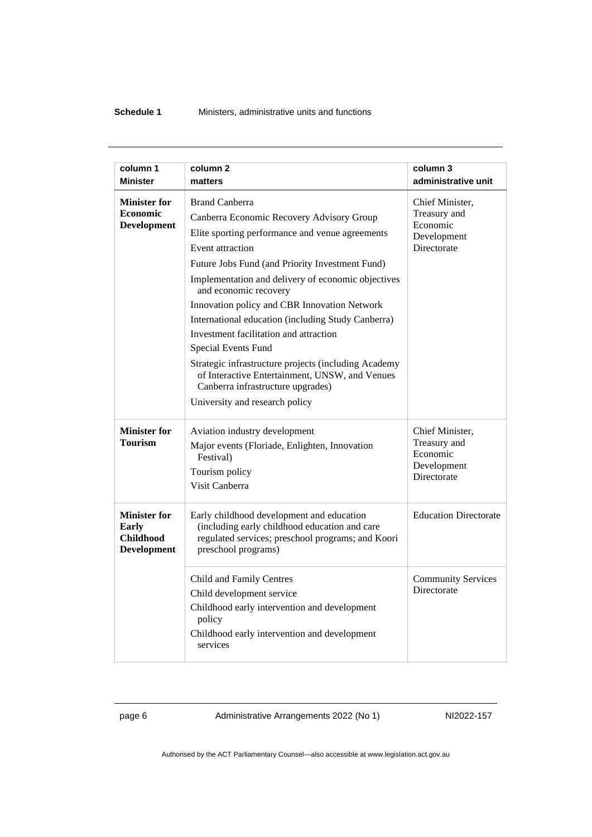| column 1<br><b>Minister</b>                                                   | column 2                                                                                                                                                                                                                                                                                                                                                                                                                                                                                                                                                                                                                            | column 3<br>administrative unit                                           |
|-------------------------------------------------------------------------------|-------------------------------------------------------------------------------------------------------------------------------------------------------------------------------------------------------------------------------------------------------------------------------------------------------------------------------------------------------------------------------------------------------------------------------------------------------------------------------------------------------------------------------------------------------------------------------------------------------------------------------------|---------------------------------------------------------------------------|
|                                                                               | matters                                                                                                                                                                                                                                                                                                                                                                                                                                                                                                                                                                                                                             |                                                                           |
| <b>Minister for</b><br><b>Economic</b><br><b>Development</b>                  | <b>Brand Canberra</b><br>Canberra Economic Recovery Advisory Group<br>Elite sporting performance and venue agreements<br>Event attraction<br>Future Jobs Fund (and Priority Investment Fund)<br>Implementation and delivery of economic objectives<br>and economic recovery<br>Innovation policy and CBR Innovation Network<br>International education (including Study Canberra)<br>Investment facilitation and attraction<br>Special Events Fund<br>Strategic infrastructure projects (including Academy<br>of Interactive Entertainment, UNSW, and Venues<br>Canberra infrastructure upgrades)<br>University and research policy | Chief Minister,<br>Treasury and<br>Economic<br>Development<br>Directorate |
| <b>Minister for</b><br><b>Tourism</b>                                         | Aviation industry development<br>Major events (Floriade, Enlighten, Innovation<br>Festival)<br>Tourism policy<br>Visit Canberra                                                                                                                                                                                                                                                                                                                                                                                                                                                                                                     | Chief Minister,<br>Treasury and<br>Economic<br>Development<br>Directorate |
| <b>Minister for</b><br><b>Early</b><br><b>Childhood</b><br><b>Development</b> | Early childhood development and education<br>(including early childhood education and care<br>regulated services; preschool programs; and Koori<br>preschool programs)                                                                                                                                                                                                                                                                                                                                                                                                                                                              | <b>Education Directorate</b>                                              |
|                                                                               | Child and Family Centres<br>Child development service<br>Childhood early intervention and development<br>policy<br>Childhood early intervention and development<br>services                                                                                                                                                                                                                                                                                                                                                                                                                                                         | <b>Community Services</b><br>Directorate                                  |

page 6 Administrative Arrangements 2022 (No 1) NI2022-157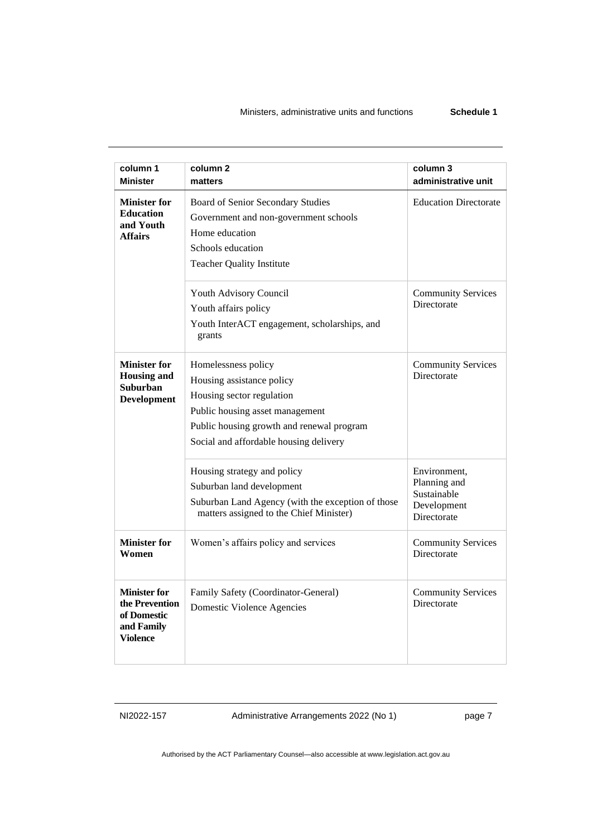| column 1<br><b>Minister</b>                                                           | column <sub>2</sub><br>matters                                                                                                                                                                          | column 3<br>administrative unit                                           |
|---------------------------------------------------------------------------------------|---------------------------------------------------------------------------------------------------------------------------------------------------------------------------------------------------------|---------------------------------------------------------------------------|
| <b>Minister for</b><br><b>Education</b><br>and Youth<br><b>Affairs</b>                | Board of Senior Secondary Studies<br>Government and non-government schools<br>Home education<br>Schools education<br><b>Teacher Quality Institute</b>                                                   | <b>Education Directorate</b>                                              |
|                                                                                       | Youth Advisory Council<br>Youth affairs policy<br>Youth InterACT engagement, scholarships, and<br>grants                                                                                                | <b>Community Services</b><br>Directorate                                  |
| <b>Minister for</b><br><b>Housing and</b><br><b>Suburban</b><br><b>Development</b>    | Homelessness policy<br>Housing assistance policy<br>Housing sector regulation<br>Public housing asset management<br>Public housing growth and renewal program<br>Social and affordable housing delivery | <b>Community Services</b><br>Directorate                                  |
|                                                                                       | Housing strategy and policy<br>Suburban land development<br>Suburban Land Agency (with the exception of those<br>matters assigned to the Chief Minister)                                                | Environment,<br>Planning and<br>Sustainable<br>Development<br>Directorate |
| <b>Minister for</b><br>Women                                                          | Women's affairs policy and services                                                                                                                                                                     | <b>Community Services</b><br>Directorate                                  |
| <b>Minister for</b><br>the Prevention<br>of Domestic<br>and Family<br><b>Violence</b> | Family Safety (Coordinator-General)<br>Domestic Violence Agencies                                                                                                                                       | <b>Community Services</b><br>Directorate                                  |

NI2022-157 Administrative Arrangements 2022 (No 1) page 7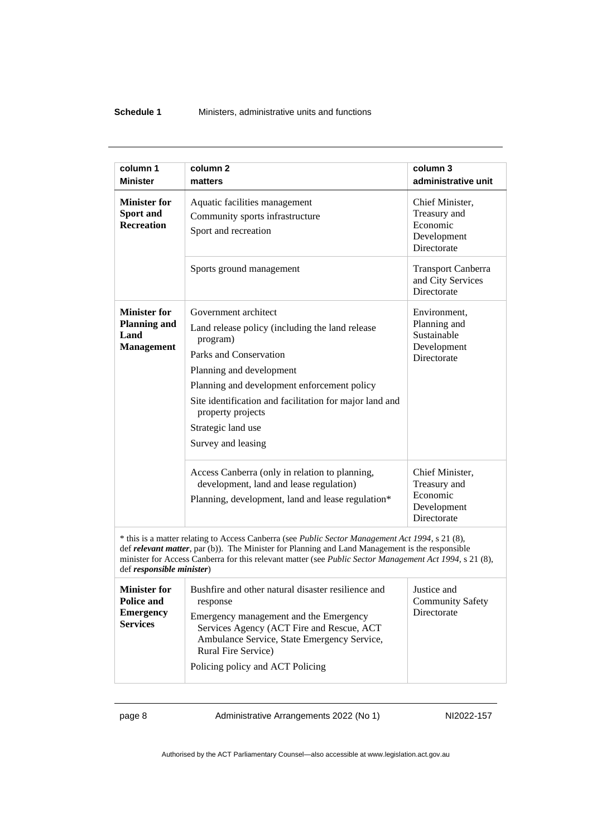#### **Schedule 1** Ministers, administrative units and functions

| column 1                                                                                                                                                                                                                                                                                                                                    | column <sub>2</sub>                                                                                                                                                                                                                                                                                                  | column 3                                                                  |
|---------------------------------------------------------------------------------------------------------------------------------------------------------------------------------------------------------------------------------------------------------------------------------------------------------------------------------------------|----------------------------------------------------------------------------------------------------------------------------------------------------------------------------------------------------------------------------------------------------------------------------------------------------------------------|---------------------------------------------------------------------------|
| <b>Minister</b>                                                                                                                                                                                                                                                                                                                             | matters                                                                                                                                                                                                                                                                                                              | administrative unit                                                       |
| <b>Minister for</b><br>Sport and<br><b>Recreation</b>                                                                                                                                                                                                                                                                                       | Aquatic facilities management<br>Community sports infrastructure<br>Sport and recreation                                                                                                                                                                                                                             | Chief Minister,<br>Treasury and<br>Economic<br>Development<br>Directorate |
|                                                                                                                                                                                                                                                                                                                                             | Sports ground management                                                                                                                                                                                                                                                                                             | <b>Transport Canberra</b><br>and City Services<br>Directorate             |
| <b>Minister for</b><br><b>Planning and</b><br>Land<br><b>Management</b>                                                                                                                                                                                                                                                                     | Government architect<br>Land release policy (including the land release<br>program)<br>Parks and Conservation<br>Planning and development<br>Planning and development enforcement policy<br>Site identification and facilitation for major land and<br>property projects<br>Strategic land use<br>Survey and leasing | Environment,<br>Planning and<br>Sustainable<br>Development<br>Directorate |
|                                                                                                                                                                                                                                                                                                                                             | Access Canberra (only in relation to planning,<br>development, land and lease regulation)<br>Planning, development, land and lease regulation*                                                                                                                                                                       | Chief Minister,<br>Treasury and<br>Economic<br>Development<br>Directorate |
| * this is a matter relating to Access Canberra (see Public Sector Management Act 1994, s 21 (8),<br>def relevant matter, par (b)). The Minister for Planning and Land Management is the responsible<br>minister for Access Canberra for this relevant matter (see Public Sector Management Act 1994, s 21 (8),<br>def responsible minister) |                                                                                                                                                                                                                                                                                                                      |                                                                           |
| <b>Minister for</b><br><b>Police and</b><br><b>Emergency</b><br><b>Services</b>                                                                                                                                                                                                                                                             | Bushfire and other natural disaster resilience and<br>response<br>Emergency management and the Emergency<br>Services Agency (ACT Fire and Rescue, ACT<br>Ambulance Service, State Emergency Service,<br>Rural Fire Service)<br>Policing policy and ACT Policing                                                      | Justice and<br>Community Safety<br>Directorate                            |

page 8 Administrative Arrangements 2022 (No 1) NI2022-157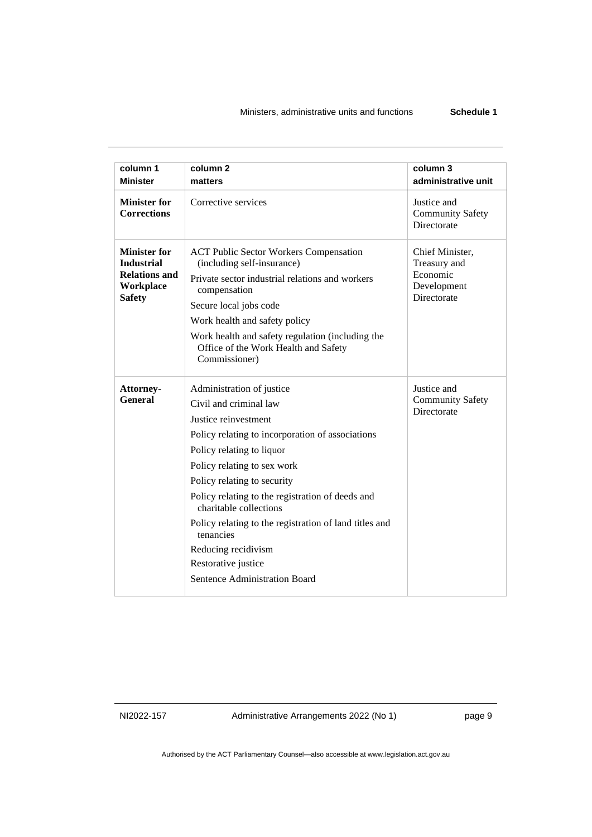| column 1                                                                                              | column <sub>2</sub>                                                                                                                                                                                                                                                                                                                                                                                                                                            | column 3                                                                  |
|-------------------------------------------------------------------------------------------------------|----------------------------------------------------------------------------------------------------------------------------------------------------------------------------------------------------------------------------------------------------------------------------------------------------------------------------------------------------------------------------------------------------------------------------------------------------------------|---------------------------------------------------------------------------|
| <b>Minister</b>                                                                                       | matters                                                                                                                                                                                                                                                                                                                                                                                                                                                        | administrative unit                                                       |
| <b>Minister for</b><br><b>Corrections</b>                                                             | Corrective services                                                                                                                                                                                                                                                                                                                                                                                                                                            | Justice and<br><b>Community Safety</b><br>Directorate                     |
| <b>Minister for</b><br><b>Industrial</b><br><b>Relations and</b><br><b>Workplace</b><br><b>Safety</b> | <b>ACT Public Sector Workers Compensation</b><br>(including self-insurance)<br>Private sector industrial relations and workers<br>compensation<br>Secure local jobs code<br>Work health and safety policy<br>Work health and safety regulation (including the<br>Office of the Work Health and Safety<br>Commissioner)                                                                                                                                         | Chief Minister,<br>Treasury and<br>Economic<br>Development<br>Directorate |
| Attorney-<br>General                                                                                  | Administration of justice<br>Civil and criminal law<br>Justice reinvestment<br>Policy relating to incorporation of associations<br>Policy relating to liquor<br>Policy relating to sex work<br>Policy relating to security<br>Policy relating to the registration of deeds and<br>charitable collections<br>Policy relating to the registration of land titles and<br>tenancies<br>Reducing recidivism<br>Restorative justice<br>Sentence Administration Board | Justice and<br><b>Community Safety</b><br>Directorate                     |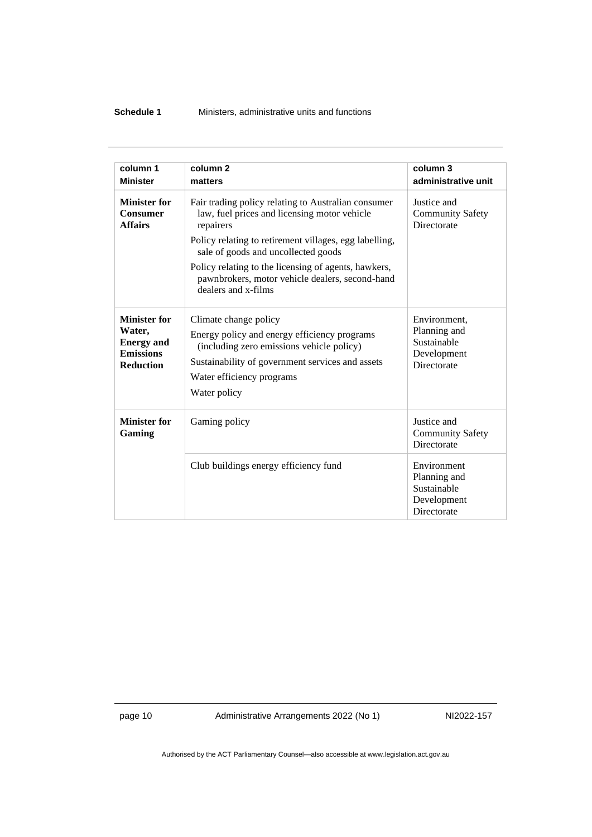#### **Schedule 1** Ministers, administrative units and functions

| column 1                                                                                   | column <sub>2</sub>                                                                                                                                                                                                                                                                                                                                 | column 3                                                                  |
|--------------------------------------------------------------------------------------------|-----------------------------------------------------------------------------------------------------------------------------------------------------------------------------------------------------------------------------------------------------------------------------------------------------------------------------------------------------|---------------------------------------------------------------------------|
| <b>Minister</b>                                                                            | matters                                                                                                                                                                                                                                                                                                                                             | administrative unit                                                       |
| <b>Minister for</b><br><b>Consumer</b><br><b>Affairs</b>                                   | Fair trading policy relating to Australian consumer<br>law, fuel prices and licensing motor vehicle<br>repairers<br>Policy relating to retirement villages, egg labelling,<br>sale of goods and uncollected goods<br>Policy relating to the licensing of agents, hawkers,<br>pawnbrokers, motor vehicle dealers, second-hand<br>dealers and x-films | Justice and<br><b>Community Safety</b><br>Directorate                     |
| <b>Minister for</b><br>Water.<br><b>Energy</b> and<br><b>Emissions</b><br><b>Reduction</b> | Climate change policy<br>Energy policy and energy efficiency programs<br>(including zero emissions vehicle policy)<br>Sustainability of government services and assets<br>Water efficiency programs<br>Water policy                                                                                                                                 | Environment,<br>Planning and<br>Sustainable<br>Development<br>Directorate |
| <b>Minister for</b><br>Gaming                                                              | Gaming policy                                                                                                                                                                                                                                                                                                                                       | Justice and<br><b>Community Safety</b><br>Directorate                     |
|                                                                                            | Club buildings energy efficiency fund                                                                                                                                                                                                                                                                                                               | Environment<br>Planning and<br>Sustainable<br>Development<br>Directorate  |

page 10 Administrative Arrangements 2022 (No 1) NI2022-157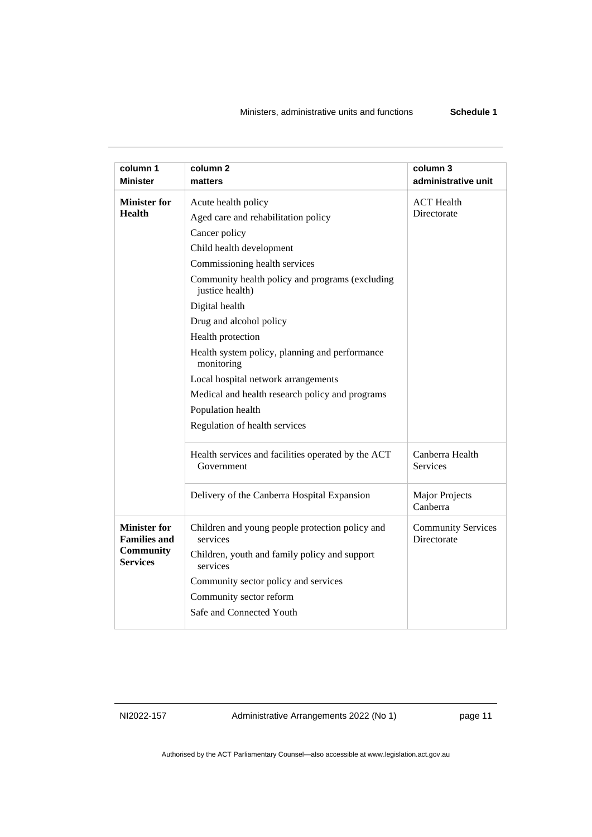| column 1<br><b>Minister</b>                | column 2<br>matters                                                | column 3<br>administrative unit          |
|--------------------------------------------|--------------------------------------------------------------------|------------------------------------------|
| <b>Minister for</b>                        | Acute health policy                                                | <b>ACT</b> Health                        |
| <b>Health</b>                              | Aged care and rehabilitation policy                                | Directorate                              |
|                                            | Cancer policy                                                      |                                          |
|                                            | Child health development                                           |                                          |
|                                            | Commissioning health services                                      |                                          |
|                                            | Community health policy and programs (excluding<br>justice health) |                                          |
|                                            | Digital health                                                     |                                          |
|                                            | Drug and alcohol policy                                            |                                          |
|                                            | Health protection                                                  |                                          |
|                                            | Health system policy, planning and performance<br>monitoring       |                                          |
|                                            | Local hospital network arrangements                                |                                          |
|                                            | Medical and health research policy and programs                    |                                          |
|                                            | Population health                                                  |                                          |
|                                            | Regulation of health services                                      |                                          |
|                                            | Health services and facilities operated by the ACT<br>Government   | Canberra Health<br>Services              |
|                                            | Delivery of the Canberra Hospital Expansion                        | Major Projects<br>Canberra               |
| <b>Minister for</b><br><b>Families and</b> | Children and young people protection policy and<br>services        | <b>Community Services</b><br>Directorate |
| <b>Community</b><br><b>Services</b>        | Children, youth and family policy and support<br>services          |                                          |
|                                            | Community sector policy and services                               |                                          |
|                                            | Community sector reform                                            |                                          |
|                                            | Safe and Connected Youth                                           |                                          |
|                                            |                                                                    |                                          |

NI2022-157 Administrative Arrangements 2022 (No 1) page 11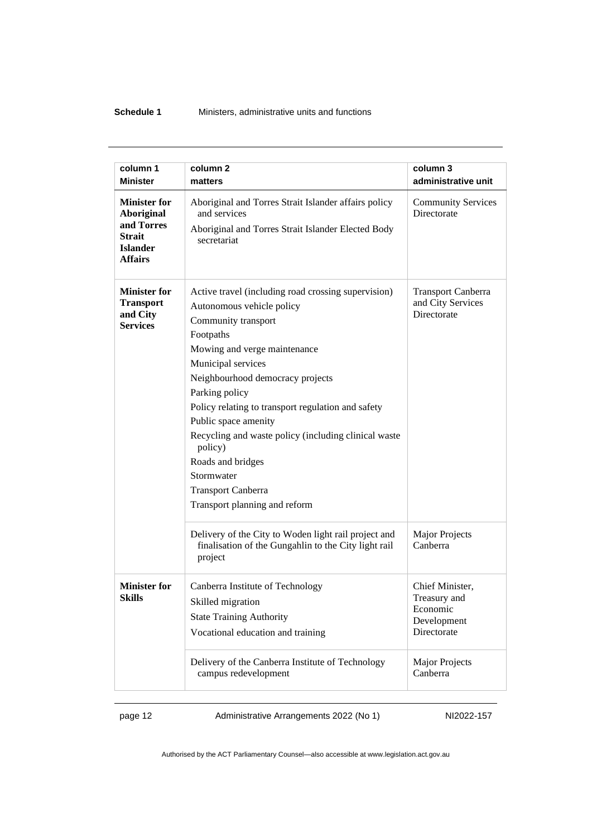#### **Schedule 1** Ministers, administrative units and functions

| column 1                                                                                                     | column 2                                                                                                                                                                                                                                                                                                                                                                                                                                                                           | column 3                                                                  |
|--------------------------------------------------------------------------------------------------------------|------------------------------------------------------------------------------------------------------------------------------------------------------------------------------------------------------------------------------------------------------------------------------------------------------------------------------------------------------------------------------------------------------------------------------------------------------------------------------------|---------------------------------------------------------------------------|
| <b>Minister</b>                                                                                              | matters                                                                                                                                                                                                                                                                                                                                                                                                                                                                            | administrative unit                                                       |
| <b>Minister for</b><br><b>Aboriginal</b><br>and Torres<br><b>Strait</b><br><b>Islander</b><br><b>Affairs</b> | Aboriginal and Torres Strait Islander affairs policy<br>and services<br>Aboriginal and Torres Strait Islander Elected Body<br>secretariat                                                                                                                                                                                                                                                                                                                                          | <b>Community Services</b><br>Directorate                                  |
| <b>Minister for</b><br><b>Transport</b><br>and City<br><b>Services</b>                                       | Active travel (including road crossing supervision)<br>Autonomous vehicle policy<br>Community transport<br>Footpaths<br>Mowing and verge maintenance<br>Municipal services<br>Neighbourhood democracy projects<br>Parking policy<br>Policy relating to transport regulation and safety<br>Public space amenity<br>Recycling and waste policy (including clinical waste<br>policy)<br>Roads and bridges<br>Stormwater<br><b>Transport Canberra</b><br>Transport planning and reform | <b>Transport Canberra</b><br>and City Services<br>Directorate             |
|                                                                                                              | Delivery of the City to Woden light rail project and<br>finalisation of the Gungahlin to the City light rail<br>project                                                                                                                                                                                                                                                                                                                                                            | <b>Major Projects</b><br>Canberra                                         |
| <b>Minister for</b><br>Skills                                                                                | Canberra Institute of Technology<br>Skilled migration<br><b>State Training Authority</b><br>Vocational education and training                                                                                                                                                                                                                                                                                                                                                      | Chief Minister,<br>Treasury and<br>Economic<br>Development<br>Directorate |
|                                                                                                              | Delivery of the Canberra Institute of Technology<br>campus redevelopment                                                                                                                                                                                                                                                                                                                                                                                                           | <b>Major Projects</b><br>Canberra                                         |

page 12 Administrative Arrangements 2022 (No 1) NI2022-157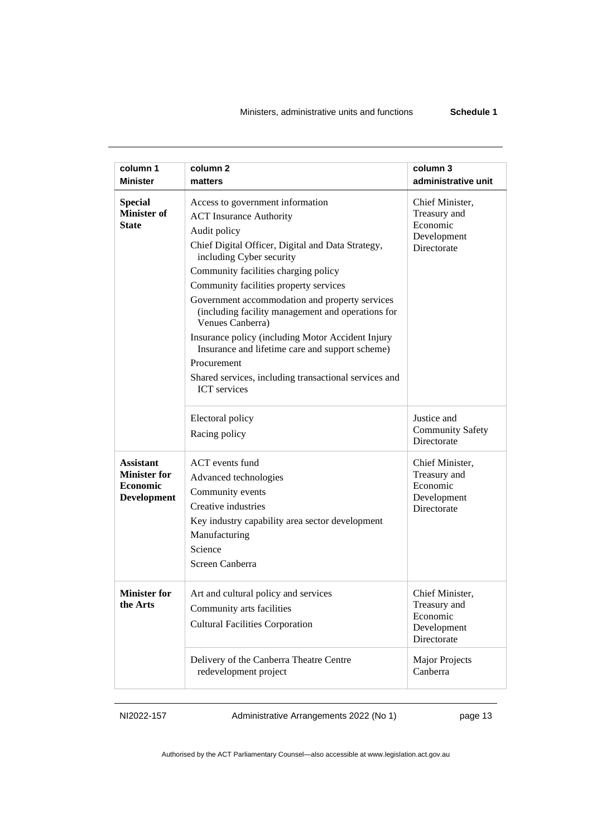#### Ministers, administrative units and functions **Schedule 1**

| column 1<br><b>Minister</b>                                               | column <sub>2</sub>                                                                                                                                                                                                                                                                                                                                                                                                                                                                                                                                                                     | column 3<br>administrative unit                                           |
|---------------------------------------------------------------------------|-----------------------------------------------------------------------------------------------------------------------------------------------------------------------------------------------------------------------------------------------------------------------------------------------------------------------------------------------------------------------------------------------------------------------------------------------------------------------------------------------------------------------------------------------------------------------------------------|---------------------------------------------------------------------------|
|                                                                           | matters                                                                                                                                                                                                                                                                                                                                                                                                                                                                                                                                                                                 |                                                                           |
| <b>Special</b><br><b>Minister of</b><br><b>State</b>                      | Access to government information<br><b>ACT</b> Insurance Authority<br>Audit policy<br>Chief Digital Officer, Digital and Data Strategy,<br>including Cyber security<br>Community facilities charging policy<br>Community facilities property services<br>Government accommodation and property services<br>(including facility management and operations for<br>Venues Canberra)<br>Insurance policy (including Motor Accident Injury<br>Insurance and lifetime care and support scheme)<br>Procurement<br>Shared services, including transactional services and<br><b>ICT</b> services | Chief Minister,<br>Treasury and<br>Economic<br>Development<br>Directorate |
|                                                                           | Electoral policy<br>Racing policy                                                                                                                                                                                                                                                                                                                                                                                                                                                                                                                                                       | Justice and<br><b>Community Safety</b><br>Directorate                     |
| <b>Assistant</b><br><b>Minister for</b><br><b>Economic</b><br>Development | ACT events fund<br>Advanced technologies<br>Community events<br>Creative industries<br>Key industry capability area sector development<br>Manufacturing<br>Science<br>Screen Canberra                                                                                                                                                                                                                                                                                                                                                                                                   | Chief Minister,<br>Treasury and<br>Economic<br>Development<br>Directorate |
| <b>Minister for</b><br>the Arts                                           | Art and cultural policy and services<br>Community arts facilities<br><b>Cultural Facilities Corporation</b>                                                                                                                                                                                                                                                                                                                                                                                                                                                                             | Chief Minister,<br>Treasury and<br>Economic<br>Development<br>Directorate |
|                                                                           | Delivery of the Canberra Theatre Centre<br>redevelopment project                                                                                                                                                                                                                                                                                                                                                                                                                                                                                                                        | <b>Major Projects</b><br>Canberra                                         |

NI2022-157 Administrative Arrangements 2022 (No 1) page 13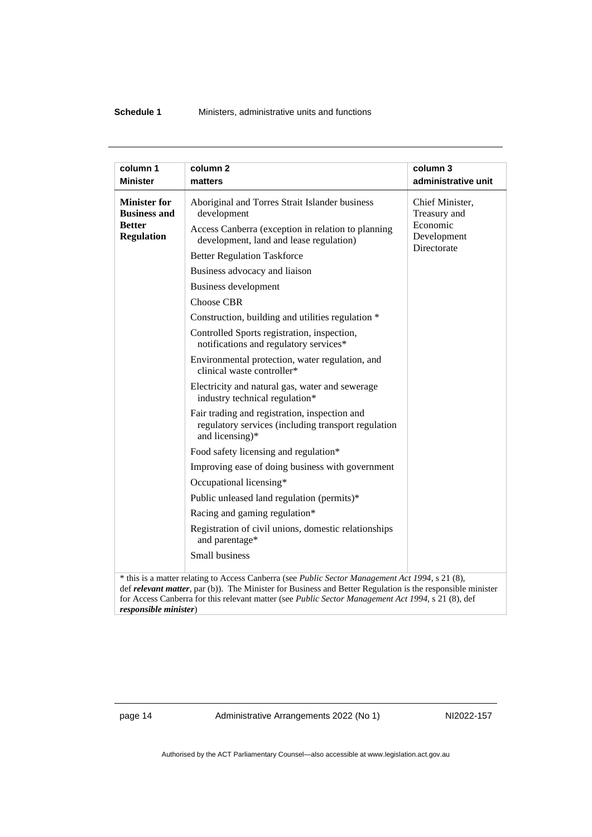#### **Schedule 1** Ministers, administrative units and functions

| <b>Minister</b>                                                                              | matters                                                                                                                                                                                                                                                                                                                                                                                                                                                                                                                                                                                                                                                                                                                                                                                                                                                                                                                                                                                                                                   | administrative unit                                                                   |
|----------------------------------------------------------------------------------------------|-------------------------------------------------------------------------------------------------------------------------------------------------------------------------------------------------------------------------------------------------------------------------------------------------------------------------------------------------------------------------------------------------------------------------------------------------------------------------------------------------------------------------------------------------------------------------------------------------------------------------------------------------------------------------------------------------------------------------------------------------------------------------------------------------------------------------------------------------------------------------------------------------------------------------------------------------------------------------------------------------------------------------------------------|---------------------------------------------------------------------------------------|
| column 1<br><b>Minister for</b><br><b>Business and</b><br><b>Better</b><br><b>Regulation</b> | column <sub>2</sub><br>Aboriginal and Torres Strait Islander business<br>development<br>Access Canberra (exception in relation to planning<br>development, land and lease regulation)<br><b>Better Regulation Taskforce</b><br>Business advocacy and liaison<br>Business development<br><b>Choose CBR</b><br>Construction, building and utilities regulation *<br>Controlled Sports registration, inspection,<br>notifications and regulatory services*<br>Environmental protection, water regulation, and<br>clinical waste controller*<br>Electricity and natural gas, water and sewerage<br>industry technical regulation*<br>Fair trading and registration, inspection and<br>regulatory services (including transport regulation<br>and licensing)*<br>Food safety licensing and regulation*<br>Improving ease of doing business with government<br>Occupational licensing*<br>Public unleased land regulation (permits)*<br>Racing and gaming regulation*<br>Registration of civil unions, domestic relationships<br>and parentage* | column 3<br>Chief Minister,<br>Treasury and<br>Economic<br>Development<br>Directorate |
|                                                                                              | Small business                                                                                                                                                                                                                                                                                                                                                                                                                                                                                                                                                                                                                                                                                                                                                                                                                                                                                                                                                                                                                            |                                                                                       |
|                                                                                              |                                                                                                                                                                                                                                                                                                                                                                                                                                                                                                                                                                                                                                                                                                                                                                                                                                                                                                                                                                                                                                           |                                                                                       |
|                                                                                              | * this is a matter relating to Access Canberra (see Public Sector Management Act 1994, s 21 (8),                                                                                                                                                                                                                                                                                                                                                                                                                                                                                                                                                                                                                                                                                                                                                                                                                                                                                                                                          |                                                                                       |

def *relevant matter*, par (b)). The Minister for Business and Better Regulation is the responsible minister for Access Canberra for this relevant matter (see *Public Sector Management Act 1994,* s 21 (8), def *responsible minister*)

page 14 Administrative Arrangements 2022 (No 1) NI2022-157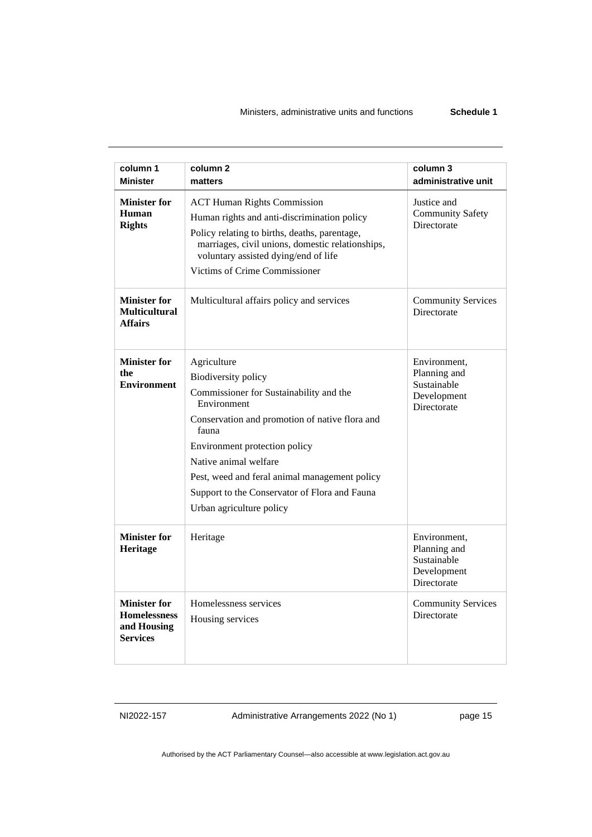#### Ministers, administrative units and functions **Schedule 1**

| column 1                                                                     | column <sub>2</sub>                                                                                                                                                                                                                                                                                                                                    | column 3                                                                  |
|------------------------------------------------------------------------------|--------------------------------------------------------------------------------------------------------------------------------------------------------------------------------------------------------------------------------------------------------------------------------------------------------------------------------------------------------|---------------------------------------------------------------------------|
| <b>Minister</b>                                                              | matters                                                                                                                                                                                                                                                                                                                                                | administrative unit                                                       |
| <b>Minister for</b><br>Human<br><b>Rights</b>                                | <b>ACT Human Rights Commission</b><br>Human rights and anti-discrimination policy<br>Policy relating to births, deaths, parentage,<br>marriages, civil unions, domestic relationships,<br>voluntary assisted dying/end of life<br>Victims of Crime Commissioner                                                                                        | Justice and<br><b>Community Safety</b><br>Directorate                     |
| <b>Minister for</b><br><b>Multicultural</b><br><b>Affairs</b>                | Multicultural affairs policy and services                                                                                                                                                                                                                                                                                                              | <b>Community Services</b><br>Directorate                                  |
| <b>Minister for</b><br>the<br><b>Environment</b>                             | Agriculture<br><b>Biodiversity policy</b><br>Commissioner for Sustainability and the<br>Environment<br>Conservation and promotion of native flora and<br>fauna<br>Environment protection policy<br>Native animal welfare<br>Pest, weed and feral animal management policy<br>Support to the Conservator of Flora and Fauna<br>Urban agriculture policy | Environment,<br>Planning and<br>Sustainable<br>Development<br>Directorate |
| <b>Minister for</b><br>Heritage                                              | Heritage                                                                                                                                                                                                                                                                                                                                               | Environment,<br>Planning and<br>Sustainable<br>Development<br>Directorate |
| <b>Minister for</b><br><b>Homelessness</b><br>and Housing<br><b>Services</b> | Homelessness services<br>Housing services                                                                                                                                                                                                                                                                                                              | <b>Community Services</b><br>Directorate                                  |

NI2022-157 Administrative Arrangements 2022 (No 1) page 15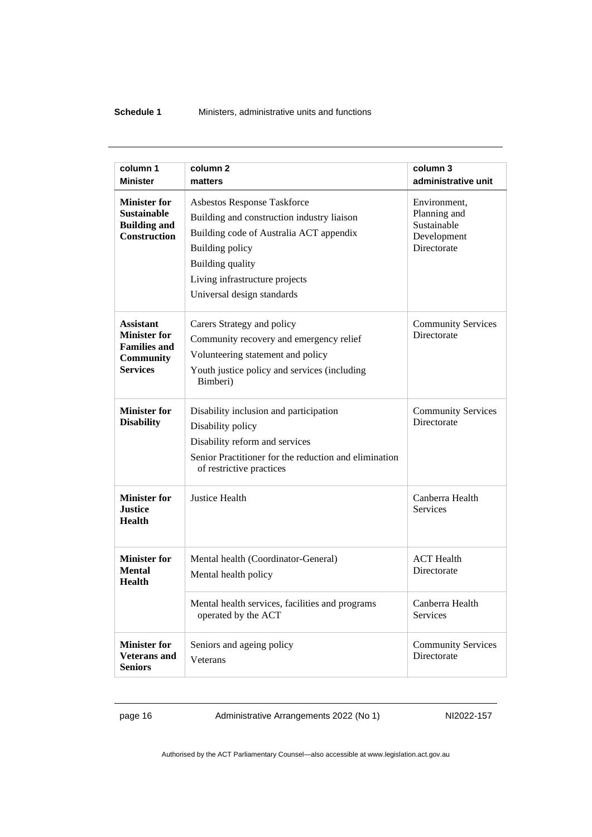#### **Schedule 1** Ministers, administrative units and functions

|                                                              | column <sub>2</sub>                                                               |                                          |
|--------------------------------------------------------------|-----------------------------------------------------------------------------------|------------------------------------------|
| column 1<br><b>Minister</b>                                  | matters                                                                           | column 3<br>administrative unit          |
|                                                              |                                                                                   |                                          |
| <b>Minister for</b>                                          | Asbestos Response Taskforce                                                       | Environment,                             |
| <b>Sustainable</b><br><b>Building and</b>                    | Building and construction industry liaison                                        | Planning and<br>Sustainable              |
| <b>Construction</b>                                          | Building code of Australia ACT appendix                                           | Development                              |
|                                                              | Building policy                                                                   | Directorate                              |
|                                                              | Building quality                                                                  |                                          |
|                                                              | Living infrastructure projects                                                    |                                          |
|                                                              | Universal design standards                                                        |                                          |
| <b>Assistant</b>                                             | Carers Strategy and policy                                                        | <b>Community Services</b>                |
| <b>Minister for</b>                                          | Community recovery and emergency relief                                           | Directorate                              |
| <b>Families and</b><br><b>Community</b>                      | Volunteering statement and policy                                                 |                                          |
| <b>Services</b>                                              | Youth justice policy and services (including<br>Bimberi)                          |                                          |
| <b>Minister for</b>                                          | Disability inclusion and participation                                            | <b>Community Services</b>                |
| <b>Disability</b>                                            | Disability policy                                                                 | Directorate                              |
|                                                              | Disability reform and services                                                    |                                          |
|                                                              | Senior Practitioner for the reduction and elimination<br>of restrictive practices |                                          |
| <b>Minister for</b><br><b>Justice</b><br><b>Health</b>       | <b>Justice Health</b>                                                             | Canberra Health<br><b>Services</b>       |
| <b>Minister for</b>                                          | Mental health (Coordinator-General)                                               | <b>ACT</b> Health                        |
| <b>Mental</b><br><b>Health</b>                               | Mental health policy                                                              | Directorate                              |
|                                                              | Mental health services, facilities and programs<br>operated by the ACT            | Canberra Health<br>Services              |
| <b>Minister for</b><br><b>Veterans</b> and<br><b>Seniors</b> | Seniors and ageing policy<br>Veterans                                             | <b>Community Services</b><br>Directorate |

page 16 Administrative Arrangements 2022 (No 1) NI2022-157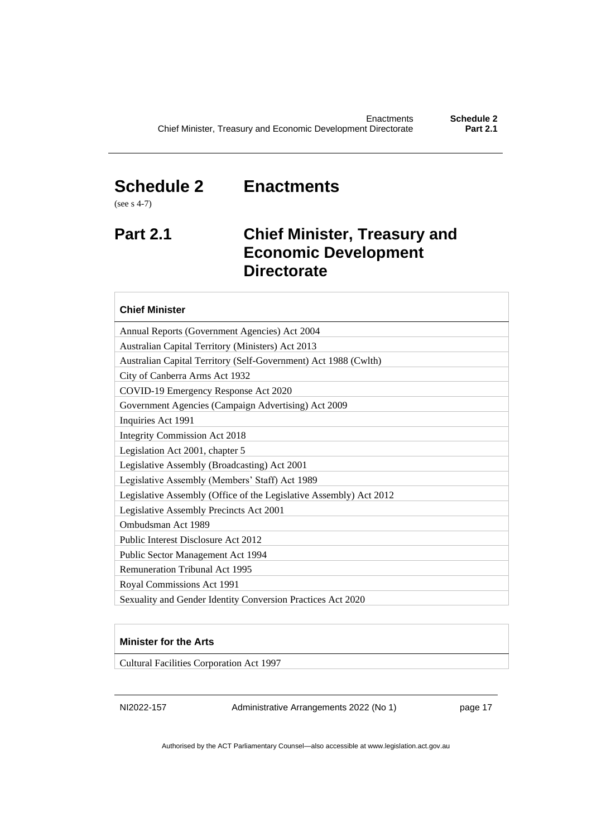# <span id="page-20-0"></span>**Schedule 2 Enactments**

(see s 4-7)

# <span id="page-20-1"></span>**Part 2.1 Chief Minister, Treasury and**

**Economic Development** 

### **Directorate Chief Minister** Annual Reports (Government Agencies) Act 2004 Australian Capital Territory (Ministers) Act 2013 Australian Capital Territory (Self-Government) Act 1988 (Cwlth) City of Canberra Arms Act 1932 COVID-19 Emergency Response Act 2020 Government Agencies (Campaign Advertising) Act 2009 Inquiries Act 1991 Integrity Commission Act 2018 Legislation Act 2001, chapter 5 Legislative Assembly (Broadcasting) Act 2001 Legislative Assembly (Members' Staff) Act 1989 Legislative Assembly (Office of the Legislative Assembly) Act 2012 Legislative Assembly Precincts Act 2001 Ombudsman Act 1989 Public Interest Disclosure Act 2012 Public Sector Management Act 1994 Remuneration Tribunal Act 1995 Royal Commissions Act 1991 Sexuality and Gender Identity Conversion Practices Act 2020

#### **Minister for the Arts**

Cultural Facilities Corporation Act 1997

NI2022-157 Administrative Arrangements 2022 (No 1) page 17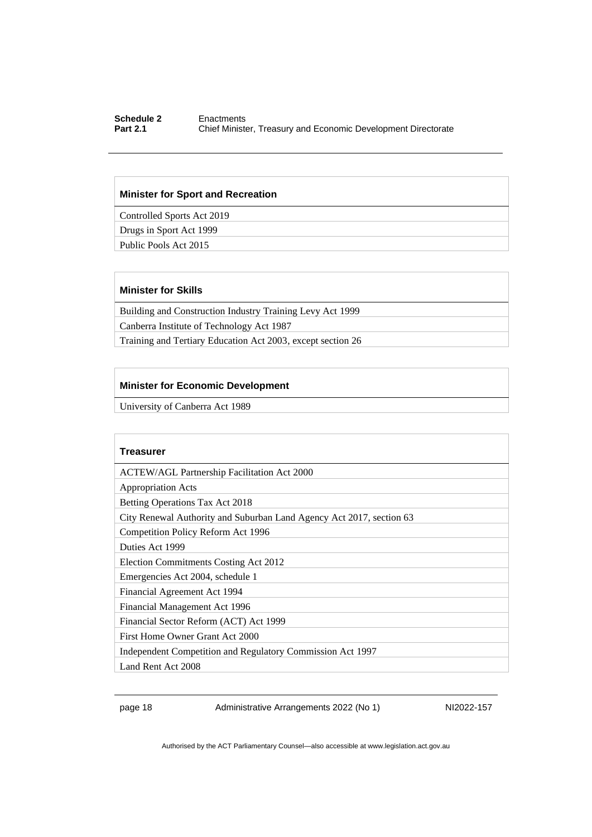#### **Schedule 2** Enactments<br> **Part 2.1** Chief Ministe **Chief Minister, Treasury and Economic Development Directorate**

#### **Minister for Sport and Recreation**

Controlled Sports Act 2019

Drugs in Sport Act 1999

Public Pools Act 2015

#### **Minister for Skills**

Building and Construction Industry Training Levy Act 1999 Canberra Institute of Technology Act 1987

Training and Tertiary Education Act 2003, except section 26

#### **Minister for Economic Development**

University of Canberra Act 1989

| Treasurer                                                            |
|----------------------------------------------------------------------|
| <b>ACTEW/AGL Partnership Facilitation Act 2000</b>                   |
| <b>Appropriation Acts</b>                                            |
| Betting Operations Tax Act 2018                                      |
| City Renewal Authority and Suburban Land Agency Act 2017, section 63 |
| Competition Policy Reform Act 1996                                   |
| Duties Act 1999                                                      |
| Election Commitments Costing Act 2012                                |
| Emergencies Act 2004, schedule 1                                     |
| Financial Agreement Act 1994                                         |
| Financial Management Act 1996                                        |
| Financial Sector Reform (ACT) Act 1999                               |
| First Home Owner Grant Act 2000                                      |
| Independent Competition and Regulatory Commission Act 1997           |
| Land Rent Act 2008                                                   |

page 18 Administrative Arrangements 2022 (No 1) NI2022-157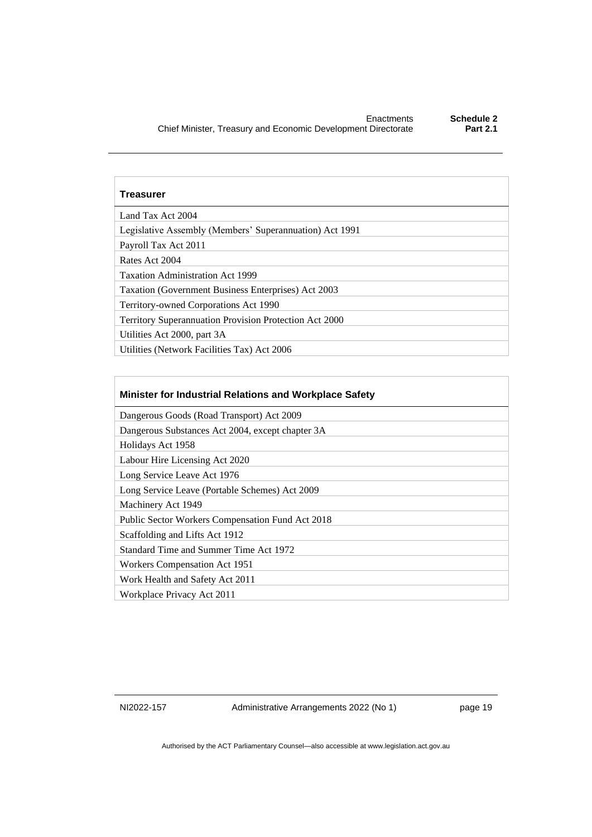| <b>Treasurer</b>                                        |
|---------------------------------------------------------|
| Land Tax Act 2004                                       |
| Legislative Assembly (Members' Superannuation) Act 1991 |
| Payroll Tax Act 2011                                    |
| Rates Act 2004                                          |
| <b>Taxation Administration Act 1999</b>                 |
| Taxation (Government Business Enterprises) Act 2003     |
| Territory-owned Corporations Act 1990                   |
| Territory Superannuation Provision Protection Act 2000  |
| Utilities Act 2000, part 3A                             |
| Utilities (Network Facilities Tax) Act 2006             |

| Minister for Industrial Relations and Workplace Safety  |
|---------------------------------------------------------|
| Dangerous Goods (Road Transport) Act 2009               |
| Dangerous Substances Act 2004, except chapter 3A        |
| Holidays Act 1958                                       |
| Labour Hire Licensing Act 2020                          |
| Long Service Leave Act 1976                             |
| Long Service Leave (Portable Schemes) Act 2009          |
| Machinery Act 1949                                      |
| <b>Public Sector Workers Compensation Fund Act 2018</b> |
| Scaffolding and Lifts Act 1912                          |
| Standard Time and Summer Time Act 1972                  |
| <b>Workers Compensation Act 1951</b>                    |
| Work Health and Safety Act 2011                         |
| Workplace Privacy Act 2011                              |

NI2022-157 Administrative Arrangements 2022 (No 1) page 19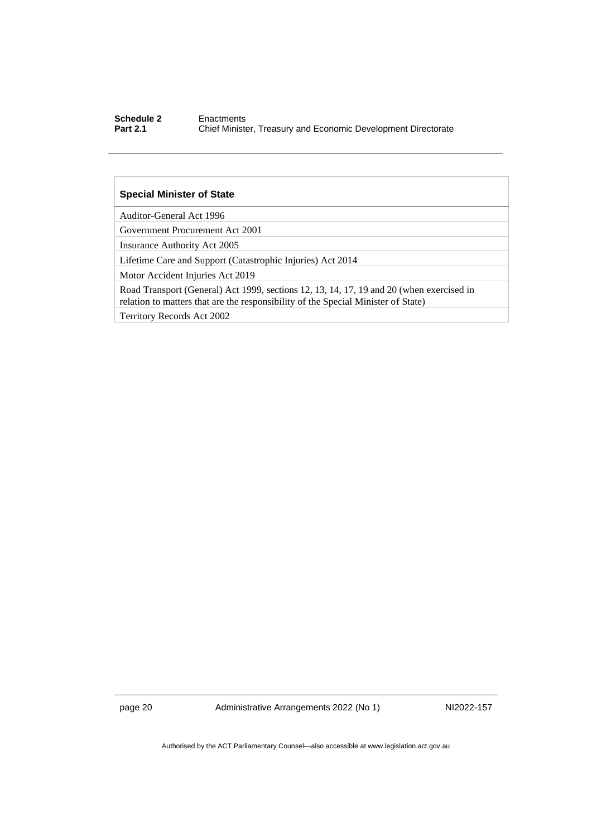#### **Schedule 2** Enactments<br> **Part 2.1** Chief Ministe **Chief Minister, Treasury and Economic Development Directorate**

#### **Special Minister of State**

Auditor-General Act 1996

Government Procurement Act 2001

Insurance Authority Act 2005

Lifetime Care and Support (Catastrophic Injuries) Act 2014

Motor Accident Injuries Act 2019

Road Transport (General) Act 1999, sections 12, 13, 14, 17, 19 and 20 (when exercised in relation to matters that are the responsibility of the Special Minister of State)

Territory Records Act 2002

page 20 Administrative Arrangements 2022 (No 1) NI2022-157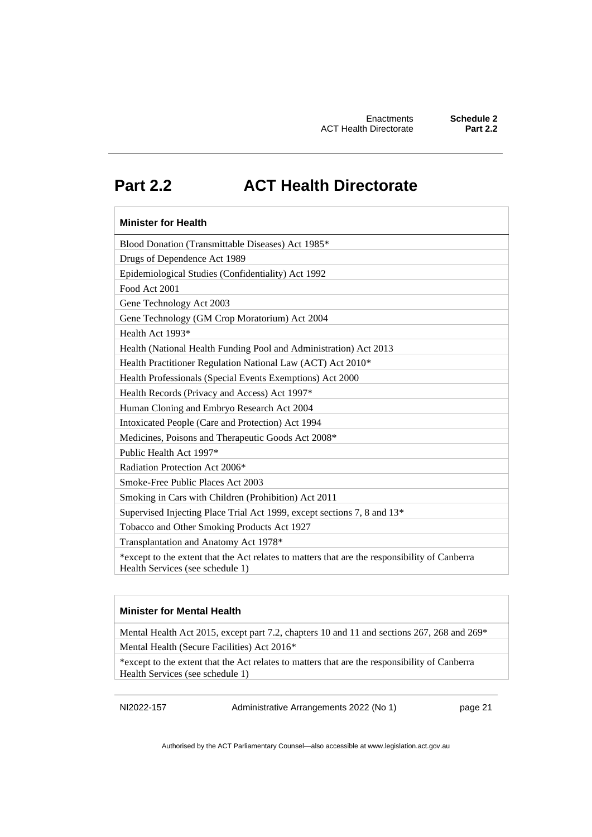# <span id="page-24-0"></span>**Part 2.2 ACT Health Directorate**

### **Minister for Health** Blood Donation (Transmittable Diseases) Act 1985\* Drugs of Dependence Act 1989 Epidemiological Studies (Confidentiality) Act 1992 Food Act 2001 Gene Technology Act 2003 Gene Technology (GM Crop Moratorium) Act 2004 Health Act 1993\* Health (National Health Funding Pool and Administration) Act 2013 Health Practitioner Regulation National Law (ACT) Act 2010\* Health Professionals (Special Events Exemptions) Act 2000 Health Records (Privacy and Access) Act 1997\* Human Cloning and Embryo Research Act 2004 Intoxicated People (Care and Protection) Act 1994 Medicines, Poisons and Therapeutic Goods Act 2008\* Public Health Act 1997\* Radiation Protection Act 2006\* Smoke-Free Public Places Act 2003 Smoking in Cars with Children (Prohibition) Act 2011 Supervised Injecting Place Trial Act 1999, except sections 7, 8 and 13\* Tobacco and Other Smoking Products Act 1927 Transplantation and Anatomy Act 1978\* \*except to the extent that the Act relates to matters that are the responsibility of Canberra Health Services (see schedule 1)

#### **Minister for Mental Health**

Mental Health Act 2015, except part 7.2, chapters 10 and 11 and sections 267, 268 and 269\*

Mental Health (Secure Facilities) Act 2016\*

\*except to the extent that the Act relates to matters that are the responsibility of Canberra Health Services (see schedule 1)

NI2022-157 Administrative Arrangements 2022 (No 1) page 21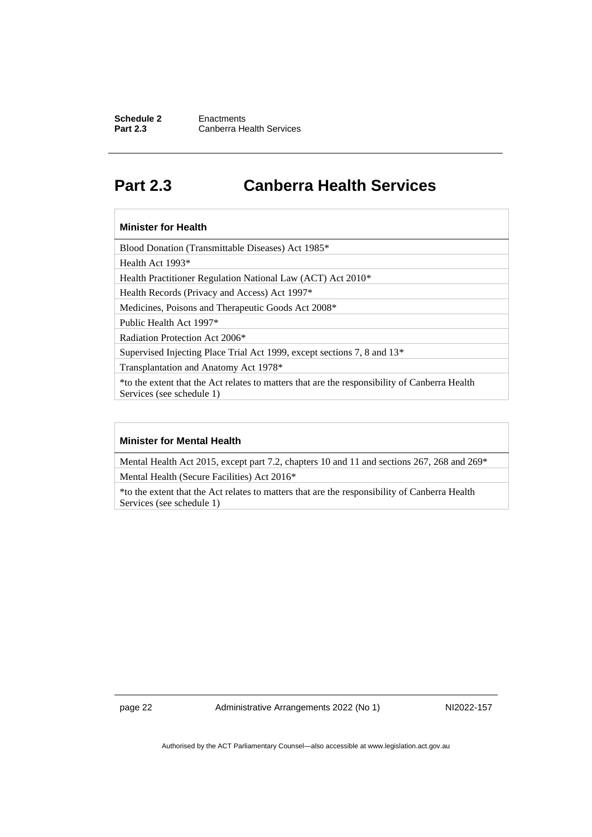#### **Schedule 2** Enactments<br> **Part 2.3** Canberra He **Canberra Health Services**

# <span id="page-25-0"></span>**Part 2.3 Canberra Health Services**

#### **Minister for Health**

Blood Donation (Transmittable Diseases) Act 1985\*

Health Act 1993\*

Health Practitioner Regulation National Law (ACT) Act 2010\*

Health Records (Privacy and Access) Act 1997\*

Medicines, Poisons and Therapeutic Goods Act 2008\*

Public Health Act 1997\*

Radiation Protection Act 2006\*

Supervised Injecting Place Trial Act 1999, except sections 7, 8 and 13\*

Transplantation and Anatomy Act 1978\*

\*to the extent that the Act relates to matters that are the responsibility of Canberra Health Services (see schedule 1)

#### **Minister for Mental Health**

Mental Health Act 2015, except part 7.2, chapters 10 and 11 and sections 267, 268 and 269\* Mental Health (Secure Facilities) Act 2016\*

\*to the extent that the Act relates to matters that are the responsibility of Canberra Health Services (see schedule 1)

page 22 Administrative Arrangements 2022 (No 1) NI2022-157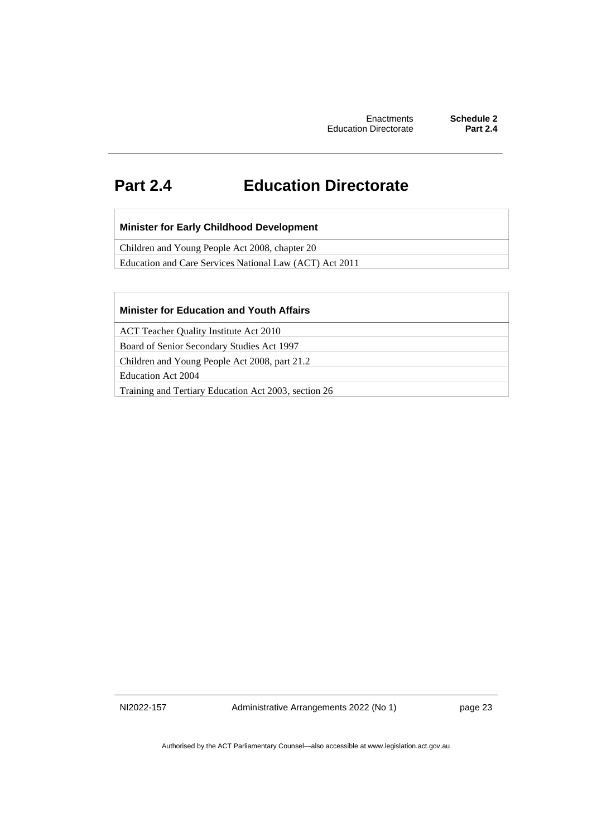# <span id="page-26-0"></span>**Part 2.4 Education Directorate**

#### **Minister for Early Childhood Development**

Children and Young People Act 2008, chapter 20

Education and Care Services National Law (ACT) Act 2011

#### **Minister for Education and Youth Affairs**

ACT Teacher Quality Institute Act 2010

Board of Senior Secondary Studies Act 1997

Children and Young People Act 2008, part 21.2

Education Act 2004

Training and Tertiary Education Act 2003, section 26

NI2022-157 Administrative Arrangements 2022 (No 1) page 23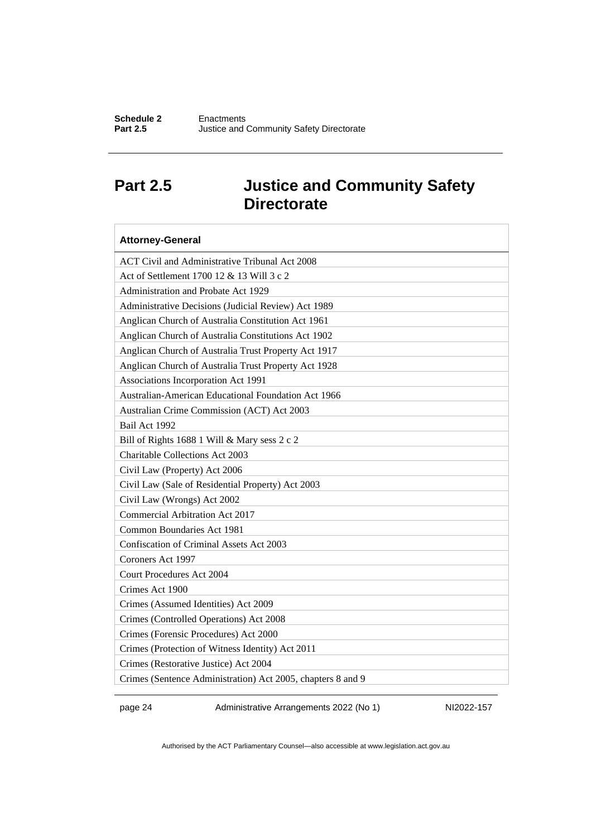# <span id="page-27-0"></span>**Part 2.5 Justice and Community Safety Directorate**

| <b>Attorney-General</b>                                     |
|-------------------------------------------------------------|
| <b>ACT Civil and Administrative Tribunal Act 2008</b>       |
| Act of Settlement 1700 12 & 13 Will 3 c 2                   |
| Administration and Probate Act 1929                         |
| Administrative Decisions (Judicial Review) Act 1989         |
| Anglican Church of Australia Constitution Act 1961          |
| Anglican Church of Australia Constitutions Act 1902         |
| Anglican Church of Australia Trust Property Act 1917        |
| Anglican Church of Australia Trust Property Act 1928        |
| Associations Incorporation Act 1991                         |
| Australian-American Educational Foundation Act 1966         |
| Australian Crime Commission (ACT) Act 2003                  |
| Bail Act 1992                                               |
| Bill of Rights 1688 1 Will & Mary sess 2 c 2                |
| <b>Charitable Collections Act 2003</b>                      |
| Civil Law (Property) Act 2006                               |
| Civil Law (Sale of Residential Property) Act 2003           |
| Civil Law (Wrongs) Act 2002                                 |
| Commercial Arbitration Act 2017                             |
| Common Boundaries Act 1981                                  |
| Confiscation of Criminal Assets Act 2003                    |
| Coroners Act 1997                                           |
| <b>Court Procedures Act 2004</b>                            |
| Crimes Act 1900                                             |
| Crimes (Assumed Identities) Act 2009                        |
| Crimes (Controlled Operations) Act 2008                     |
| Crimes (Forensic Procedures) Act 2000                       |
| Crimes (Protection of Witness Identity) Act 2011            |
| Crimes (Restorative Justice) Act 2004                       |
| Crimes (Sentence Administration) Act 2005, chapters 8 and 9 |

page 24 Administrative Arrangements 2022 (No 1) NI2022-157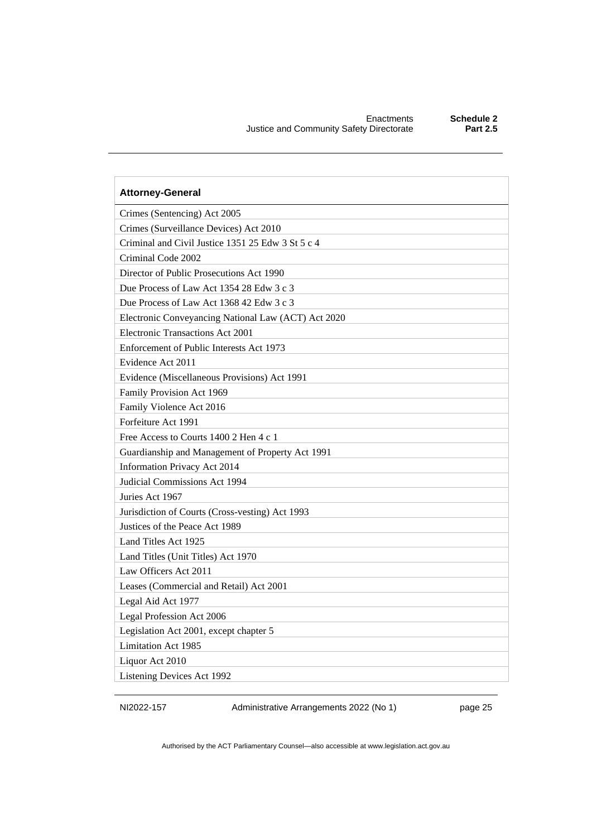| <b>Attorney-General</b>                             |
|-----------------------------------------------------|
| Crimes (Sentencing) Act 2005                        |
| Crimes (Surveillance Devices) Act 2010              |
| Criminal and Civil Justice 1351 25 Edw 3 St 5 c 4   |
| Criminal Code 2002                                  |
| Director of Public Prosecutions Act 1990            |
| Due Process of Law Act 1354 28 Edw 3 c 3            |
| Due Process of Law Act 1368 42 Edw 3 c 3            |
| Electronic Conveyancing National Law (ACT) Act 2020 |
| Electronic Transactions Act 2001                    |
| Enforcement of Public Interests Act 1973            |
| Evidence Act 2011                                   |
| Evidence (Miscellaneous Provisions) Act 1991        |
| Family Provision Act 1969                           |
| Family Violence Act 2016                            |
| Forfeiture Act 1991                                 |
| Free Access to Courts 1400 2 Hen 4 c 1              |
| Guardianship and Management of Property Act 1991    |
| Information Privacy Act 2014                        |
| Judicial Commissions Act 1994                       |
| Juries Act 1967                                     |
| Jurisdiction of Courts (Cross-vesting) Act 1993     |
| Justices of the Peace Act 1989                      |
| Land Titles Act 1925                                |
| Land Titles (Unit Titles) Act 1970                  |
| Law Officers Act 2011                               |
| Leases (Commercial and Retail) Act 2001             |
| Legal Aid Act 1977                                  |
| Legal Profession Act 2006                           |
| Legislation Act 2001, except chapter 5              |
| Limitation Act 1985                                 |
| Liquor Act 2010                                     |
| Listening Devices Act 1992                          |

NI2022-157 Administrative Arrangements 2022 (No 1) page 25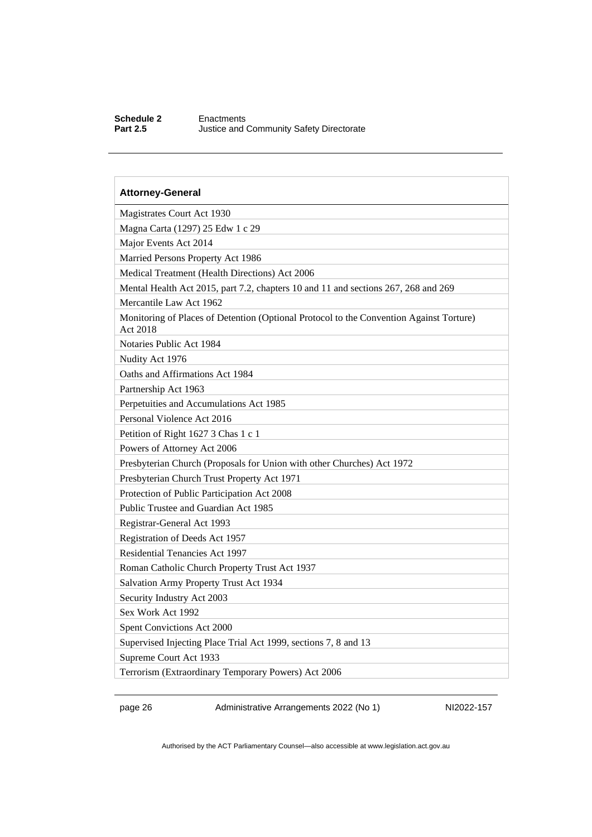#### **Schedule 2** Enactments<br>**Part 2.5** Justice and ( **Justice and Community Safety Directorate**

| <b>Attorney-General</b>                                                                             |
|-----------------------------------------------------------------------------------------------------|
| Magistrates Court Act 1930                                                                          |
| Magna Carta (1297) 25 Edw 1 c 29                                                                    |
| Major Events Act 2014                                                                               |
| Married Persons Property Act 1986                                                                   |
| Medical Treatment (Health Directions) Act 2006                                                      |
| Mental Health Act 2015, part 7.2, chapters 10 and 11 and sections 267, 268 and 269                  |
| Mercantile Law Act 1962                                                                             |
| Monitoring of Places of Detention (Optional Protocol to the Convention Against Torture)<br>Act 2018 |
| Notaries Public Act 1984                                                                            |
| Nudity Act 1976                                                                                     |
| Oaths and Affirmations Act 1984                                                                     |
| Partnership Act 1963                                                                                |
| Perpetuities and Accumulations Act 1985                                                             |
| Personal Violence Act 2016                                                                          |
| Petition of Right 1627 3 Chas 1 c 1                                                                 |
| Powers of Attorney Act 2006                                                                         |
| Presbyterian Church (Proposals for Union with other Churches) Act 1972                              |
| Presbyterian Church Trust Property Act 1971                                                         |
| Protection of Public Participation Act 2008                                                         |
| Public Trustee and Guardian Act 1985                                                                |
| Registrar-General Act 1993                                                                          |
| Registration of Deeds Act 1957                                                                      |
| Residential Tenancies Act 1997                                                                      |
| Roman Catholic Church Property Trust Act 1937                                                       |
| Salvation Army Property Trust Act 1934                                                              |
| Security Industry Act 2003                                                                          |
| Sex Work Act 1992                                                                                   |
| Spent Convictions Act 2000                                                                          |
| Supervised Injecting Place Trial Act 1999, sections 7, 8 and 13                                     |
| Supreme Court Act 1933                                                                              |
| Terrorism (Extraordinary Temporary Powers) Act 2006                                                 |

page 26 Administrative Arrangements 2022 (No 1) NI2022-157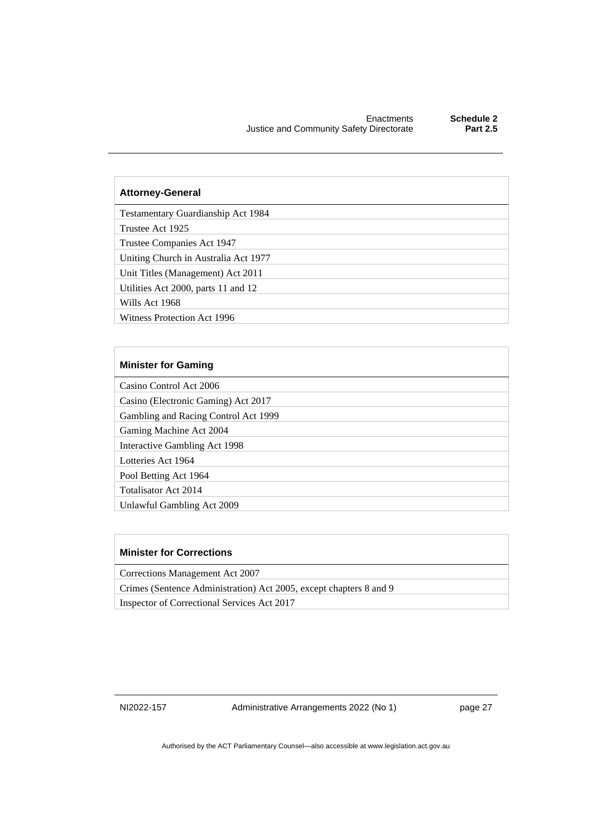#### **Attorney-General**

Testamentary Guardianship Act 1984

Trustee Act 1925

Trustee Companies Act 1947

Uniting Church in Australia Act 1977

Unit Titles (Management) Act 2011

Utilities Act 2000, parts 11 and 12

Wills Act 1968

Witness Protection Act 1996

#### **Minister for Gaming**

Casino Control Act 2006

Casino (Electronic Gaming) Act 2017

Gambling and Racing Control Act 1999

Gaming Machine Act 2004

Interactive Gambling Act 1998

Lotteries Act 1964

Pool Betting Act 1964

Totalisator Act 2014

Unlawful Gambling Act 2009

#### **Minister for Corrections**

Corrections Management Act 2007

Crimes (Sentence Administration) Act 2005, except chapters 8 and 9

Inspector of Correctional Services Act 2017

NI2022-157 Administrative Arrangements 2022 (No 1) page 27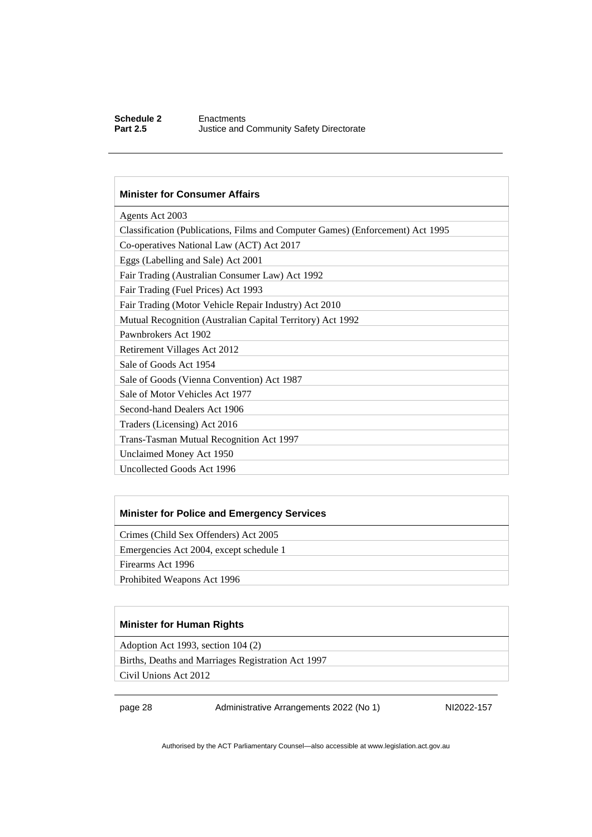#### **Schedule 2** Enactments<br> **Part 2.5** Justice and **Justice and Community Safety Directorate**

#### **Minister for Consumer Affairs**

| Agents Act 2003                                                                |
|--------------------------------------------------------------------------------|
| Classification (Publications, Films and Computer Games) (Enforcement) Act 1995 |
| Co-operatives National Law (ACT) Act 2017                                      |
| Eggs (Labelling and Sale) Act 2001                                             |
| Fair Trading (Australian Consumer Law) Act 1992                                |
| Fair Trading (Fuel Prices) Act 1993                                            |
| Fair Trading (Motor Vehicle Repair Industry) Act 2010                          |
| Mutual Recognition (Australian Capital Territory) Act 1992                     |
| Pawnbrokers Act 1902                                                           |
| Retirement Villages Act 2012                                                   |
| Sale of Goods Act 1954                                                         |
| Sale of Goods (Vienna Convention) Act 1987                                     |
| Sale of Motor Vehicles Act 1977                                                |
| Second-hand Dealers Act 1906                                                   |
| Traders (Licensing) Act 2016                                                   |
| Trans-Tasman Mutual Recognition Act 1997                                       |
| Unclaimed Money Act 1950                                                       |
| Uncollected Goods Act 1996                                                     |
|                                                                                |

#### **Minister for Police and Emergency Services**

Crimes (Child Sex Offenders) Act 2005

Emergencies Act 2004, except schedule 1

Firearms Act 1996

Prohibited Weapons Act 1996

#### **Minister for Human Rights**

Adoption Act 1993, section 104 (2)

Births, Deaths and Marriages Registration Act 1997

Civil Unions Act 2012

page 28 Administrative Arrangements 2022 (No 1) NI2022-157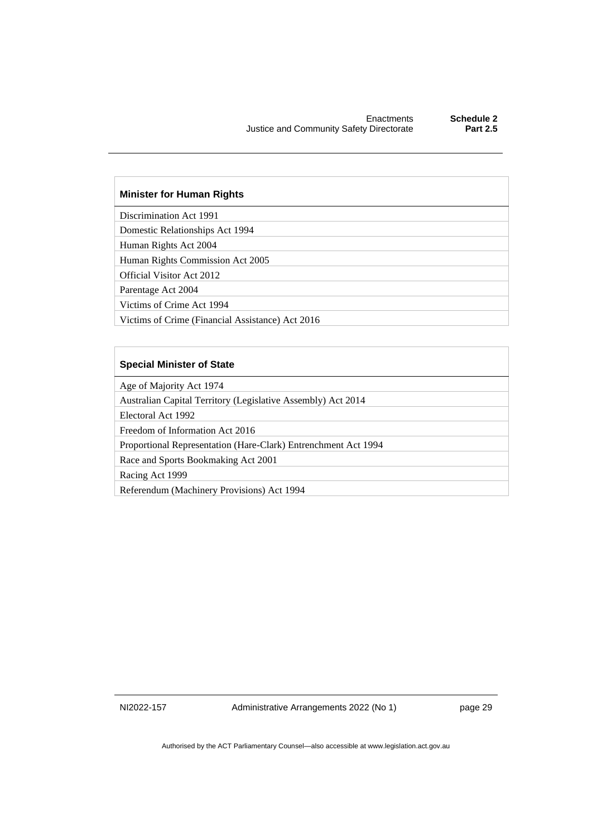#### **Minister for Human Rights**

Discrimination Act 1991

Domestic Relationships Act 1994

Human Rights Act 2004

Human Rights Commission Act 2005

Official Visitor Act 2012

Parentage Act 2004

Victims of Crime Act 1994

Victims of Crime (Financial Assistance) Act 2016

#### **Special Minister of State**

Age of Majority Act 1974

Australian Capital Territory (Legislative Assembly) Act 2014

Electoral Act 1992

Freedom of Information Act 2016

Proportional Representation (Hare-Clark) Entrenchment Act 1994

Race and Sports Bookmaking Act 2001

Racing Act 1999

Referendum (Machinery Provisions) Act 1994

NI2022-157 Administrative Arrangements 2022 (No 1) page 29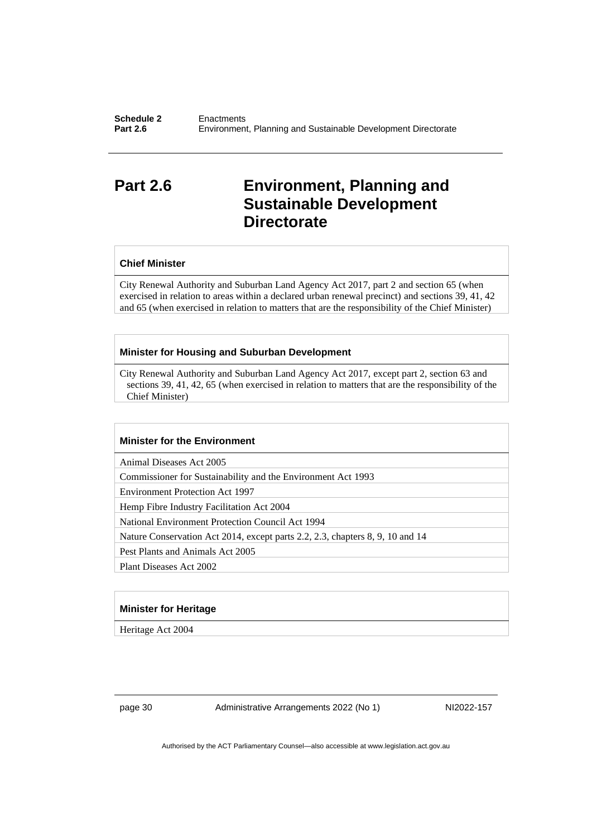# <span id="page-33-0"></span>**Part 2.6 Environment, Planning and Sustainable Development Directorate**

#### **Chief Minister**

City Renewal Authority and Suburban Land Agency Act 2017, part 2 and section 65 (when exercised in relation to areas within a declared urban renewal precinct) and sections 39, 41, 42 and 65 (when exercised in relation to matters that are the responsibility of the Chief Minister)

#### **Minister for Housing and Suburban Development**

City Renewal Authority and Suburban Land Agency Act 2017, except part 2, section 63 and sections 39, 41, 42, 65 (when exercised in relation to matters that are the responsibility of the Chief Minister)

#### **Minister for the Environment**

Animal Diseases Act 2005

Commissioner for Sustainability and the Environment Act 1993

Environment Protection Act 1997

Hemp Fibre Industry Facilitation Act 2004

National Environment Protection Council Act 1994

Nature Conservation Act 2014, except parts 2.2, 2.3, chapters 8, 9, 10 and 14

Pest Plants and Animals Act 2005

Plant Diseases Act 2002

#### **Minister for Heritage**

Heritage Act 2004

page 30 Administrative Arrangements 2022 (No 1) NI2022-157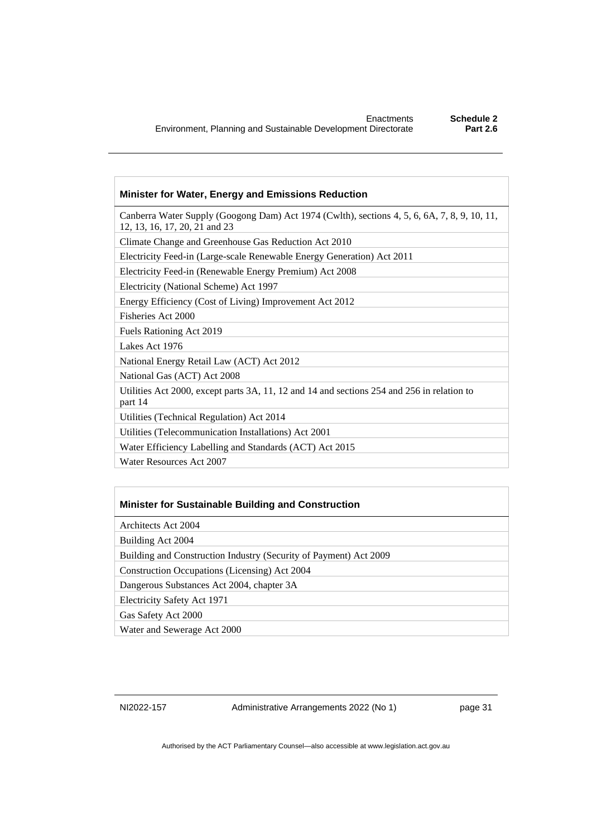#### **Minister for Water, Energy and Emissions Reduction**

Canberra Water Supply (Googong Dam) Act 1974 (Cwlth), sections 4, 5, 6, 6A, 7, 8, 9, 10, 11, 12, 13, 16, 17, 20, 21 and 23

Climate Change and Greenhouse Gas Reduction Act 2010

Electricity Feed-in (Large-scale Renewable Energy Generation) Act 2011

Electricity Feed-in (Renewable Energy Premium) Act 2008

Electricity (National Scheme) Act 1997

Energy Efficiency (Cost of Living) Improvement Act 2012

Fisheries Act 2000

Fuels Rationing Act 2019

Lakes Act 1976

National Energy Retail Law (ACT) Act 2012

National Gas (ACT) Act 2008

Utilities Act 2000, except parts 3A, 11, 12 and 14 and sections 254 and 256 in relation to part 14

Utilities (Technical Regulation) Act 2014

Utilities (Telecommunication Installations) Act 2001

Water Efficiency Labelling and Standards (ACT) Act 2015

Water Resources Act 2007

#### **Minister for Sustainable Building and Construction**

Architects Act 2004

Building Act 2004

Building and Construction Industry (Security of Payment) Act 2009

Construction Occupations (Licensing) Act 2004

Dangerous Substances Act 2004, chapter 3A

Electricity Safety Act 1971

Gas Safety Act 2000

Water and Sewerage Act 2000

NI2022-157 Administrative Arrangements 2022 (No 1) page 31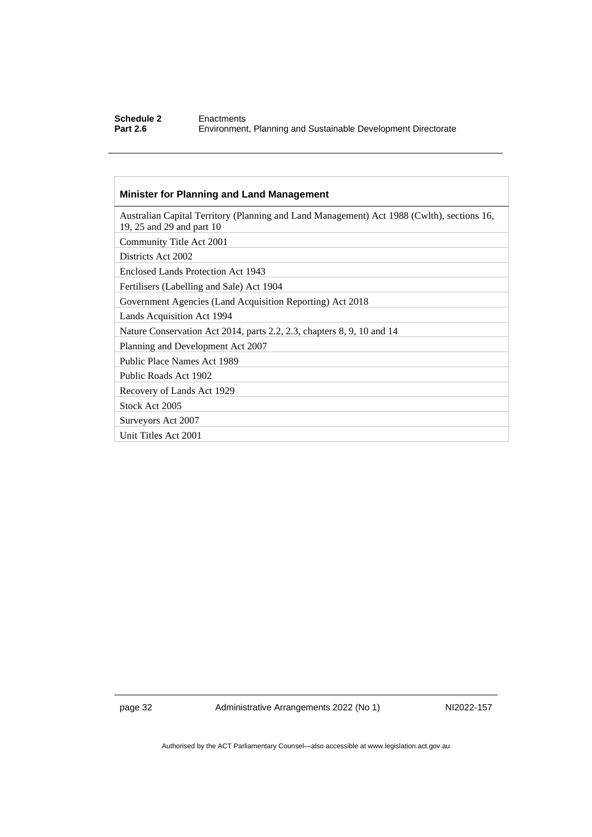#### **Schedule 2** Enactments<br> **Part 2.6** Environment **Part 2.6** Environment, Planning and Sustainable Development Directorate

#### **Minister for Planning and Land Management**

| Australian Capital Territory (Planning and Land Management) Act 1988 (Cwlth), sections 16,<br>19, 25 and 29 and part 10 |
|-------------------------------------------------------------------------------------------------------------------------|
| Community Title Act 2001                                                                                                |
| Districts Act 2002                                                                                                      |
| Enclosed Lands Protection Act 1943                                                                                      |
| Fertilisers (Labelling and Sale) Act 1904                                                                               |
| Government Agencies (Land Acquisition Reporting) Act 2018                                                               |
| Lands Acquisition Act 1994                                                                                              |
| Nature Conservation Act 2014, parts 2.2, 2.3, chapters 8, 9, 10 and 14                                                  |
| Planning and Development Act 2007                                                                                       |
| Public Place Names Act 1989                                                                                             |
| Public Roads Act 1902                                                                                                   |
| Recovery of Lands Act 1929                                                                                              |
| Stock Act 2005                                                                                                          |
| Surveyors Act 2007                                                                                                      |
| Unit Titles Act 2001                                                                                                    |
|                                                                                                                         |

page 32 Administrative Arrangements 2022 (No 1) NI2022-157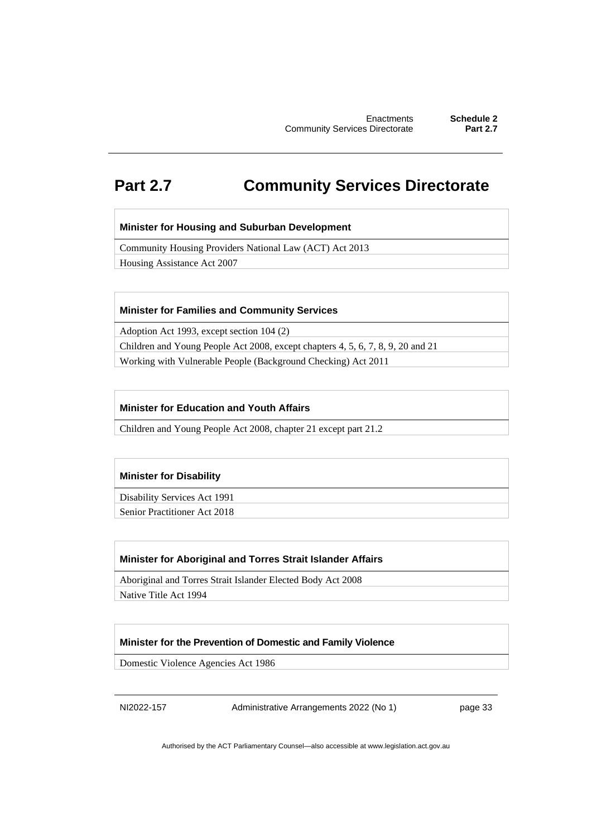# <span id="page-36-0"></span>**Part 2.7 Community Services Directorate**

#### **Minister for Housing and Suburban Development**

Community Housing Providers National Law (ACT) Act 2013

Housing Assistance Act 2007

#### **Minister for Families and Community Services**

Adoption Act 1993, except section 104 (2)

Children and Young People Act 2008, except chapters 4, 5, 6, 7, 8, 9, 20 and 21 Working with Vulnerable People (Background Checking) Act 2011

#### **Minister for Education and Youth Affairs**

Children and Young People Act 2008, chapter 21 except part 21.2

#### **Minister for Disability**

Disability Services Act 1991

Senior Practitioner Act 2018

#### **Minister for Aboriginal and Torres Strait Islander Affairs**

Aboriginal and Torres Strait Islander Elected Body Act 2008

Native Title Act 1994

#### **Minister for the Prevention of Domestic and Family Violence**

Domestic Violence Agencies Act 1986

NI2022-157 Administrative Arrangements 2022 (No 1) page 33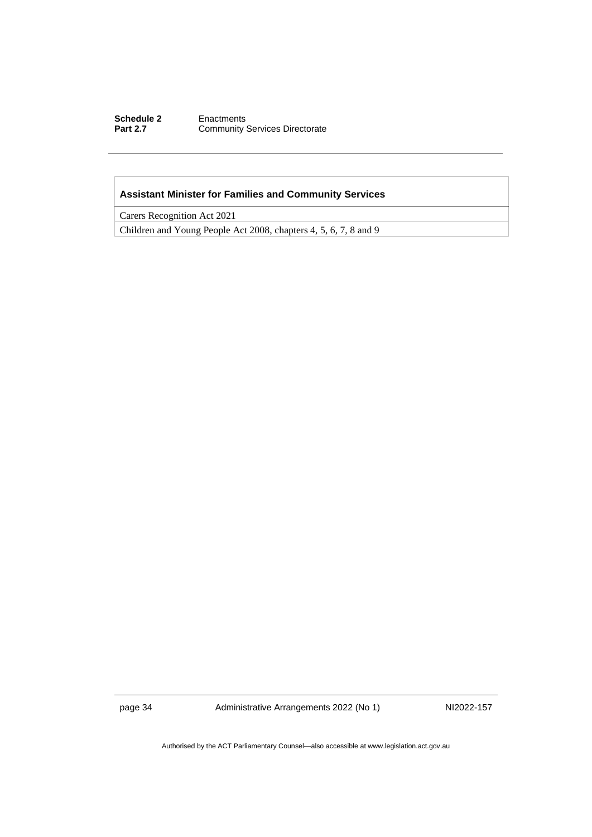#### **Schedule 2** Enactments<br> **Part 2.7** Community **Community Services Directorate**

#### **Assistant Minister for Families and Community Services**

Carers Recognition Act 2021

Children and Young People Act 2008, chapters 4, 5, 6, 7, 8 and 9

page 34 Administrative Arrangements 2022 (No 1) NI2022-157